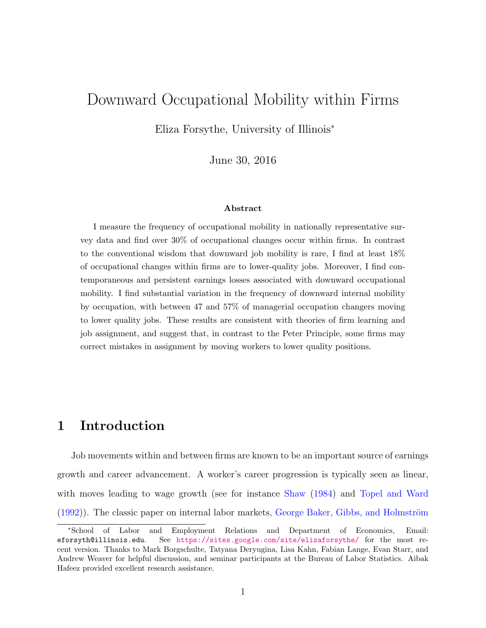# Downward Occupational Mobility within Firms

Eliza Forsythe, University of Illinois<sup>∗</sup>

June 30, 2016

### Abstract

I measure the frequency of occupational mobility in nationally representative survey data and find over 30% of occupational changes occur within firms. In contrast to the conventional wisdom that downward job mobility is rare, I find at least 18% of occupational changes within firms are to lower-quality jobs. Moreover, I find contemporaneous and persistent earnings losses associated with downward occupational mobility. I find substantial variation in the frequency of downward internal mobility by occupation, with between 47 and 57% of managerial occupation changers moving to lower quality jobs. These results are consistent with theories of firm learning and job assignment, and suggest that, in contrast to the Peter Principle, some firms may correct mistakes in assignment by moving workers to lower quality positions.

# 1 Introduction

Job movements within and between firms are known to be an important source of earnings growth and career advancement. A worker's career progression is typically seen as linear, with moves leading to wage growth (see for instance [Shaw](#page-32-0) [\(1984\)](#page-32-0) and [Topel and Ward](#page-32-1)  $(1992)$ ). The classic paper on internal labor markets, George Baker, Gibbs, and Holmström

<sup>∗</sup>School of Labor and Employment Relations and Department of Economics, Email: eforsyth@illinois.edu. See <https://sites.google.com/site/elizaforsythe/> for the most recent version. Thanks to Mark Borgschulte, Tatyana Deryugina, Lisa Kahn, Fabian Lange, Evan Starr, and Andrew Weaver for helpful discussion, and seminar participants at the Bureau of Labor Statistics. Aibak Hafeez provided excellent research assistance.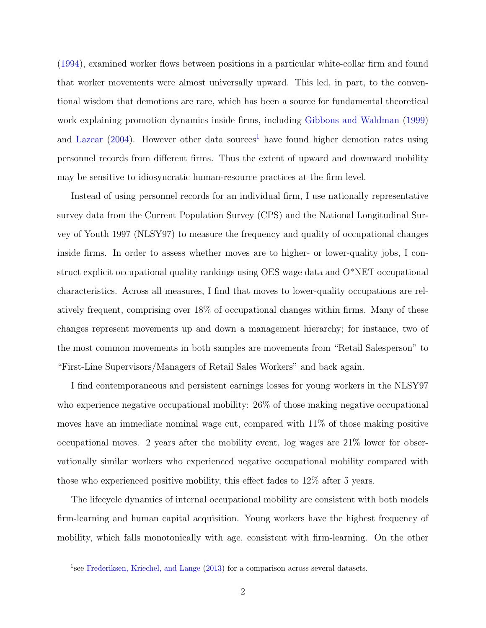[\(1994\)](#page-32-2), examined worker flows between positions in a particular white-collar firm and found that worker movements were almost universally upward. This led, in part, to the conventional wisdom that demotions are rare, which has been a source for fundamental theoretical work explaining promotion dynamics inside firms, including [Gibbons and Waldman](#page-32-3) [\(1999\)](#page-32-3) and [Lazear](#page-32-4)  $(2004)$ . However other data sources<sup>[1](#page-1-0)</sup> have found higher demotion rates using personnel records from different firms. Thus the extent of upward and downward mobility may be sensitive to idiosyncratic human-resource practices at the firm level.

Instead of using personnel records for an individual firm, I use nationally representative survey data from the Current Population Survey (CPS) and the National Longitudinal Survey of Youth 1997 (NLSY97) to measure the frequency and quality of occupational changes inside firms. In order to assess whether moves are to higher- or lower-quality jobs, I construct explicit occupational quality rankings using OES wage data and O\*NET occupational characteristics. Across all measures, I find that moves to lower-quality occupations are relatively frequent, comprising over 18% of occupational changes within firms. Many of these changes represent movements up and down a management hierarchy; for instance, two of the most common movements in both samples are movements from "Retail Salesperson" to "First-Line Supervisors/Managers of Retail Sales Workers" and back again.

I find contemporaneous and persistent earnings losses for young workers in the NLSY97 who experience negative occupational mobility:  $26\%$  of those making negative occupational moves have an immediate nominal wage cut, compared with 11% of those making positive occupational moves. 2 years after the mobility event, log wages are 21% lower for observationally similar workers who experienced negative occupational mobility compared with those who experienced positive mobility, this effect fades to 12% after 5 years.

The lifecycle dynamics of internal occupational mobility are consistent with both models firm-learning and human capital acquisition. Young workers have the highest frequency of mobility, which falls monotonically with age, consistent with firm-learning. On the other

<span id="page-1-0"></span><sup>&</sup>lt;sup>1</sup>see [Frederiksen, Kriechel, and Lange](#page-32-5) [\(2013\)](#page-32-5) for a comparison across several datasets.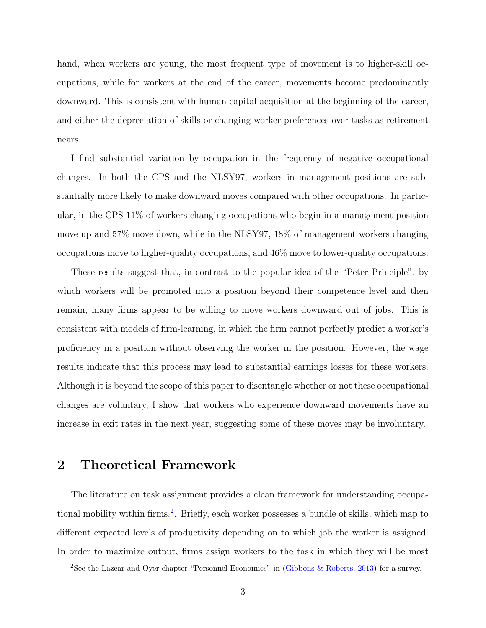hand, when workers are young, the most frequent type of movement is to higher-skill occupations, while for workers at the end of the career, movements become predominantly downward. This is consistent with human capital acquisition at the beginning of the career, and either the depreciation of skills or changing worker preferences over tasks as retirement nears.

I find substantial variation by occupation in the frequency of negative occupational changes. In both the CPS and the NLSY97, workers in management positions are substantially more likely to make downward moves compared with other occupations. In particular, in the CPS 11% of workers changing occupations who begin in a management position move up and 57% move down, while in the NLSY97, 18% of management workers changing occupations move to higher-quality occupations, and 46% move to lower-quality occupations.

These results suggest that, in contrast to the popular idea of the "Peter Principle", by which workers will be promoted into a position beyond their competence level and then remain, many firms appear to be willing to move workers downward out of jobs. This is consistent with models of firm-learning, in which the firm cannot perfectly predict a worker's proficiency in a position without observing the worker in the position. However, the wage results indicate that this process may lead to substantial earnings losses for these workers. Although it is beyond the scope of this paper to disentangle whether or not these occupational changes are voluntary, I show that workers who experience downward movements have an increase in exit rates in the next year, suggesting some of these moves may be involuntary.

# 2 Theoretical Framework

The literature on task assignment provides a clean framework for understanding occupa-tional mobility within firms.<sup>[2](#page-2-0)</sup>. Briefly, each worker possesses a bundle of skills, which map to different expected levels of productivity depending on to which job the worker is assigned. In order to maximize output, firms assign workers to the task in which they will be most

<span id="page-2-0"></span><sup>&</sup>lt;sup>2</sup>See the Lazear and Oyer chapter "Personnel Economics" in [\(Gibbons & Roberts,](#page-32-6) [2013\)](#page-32-6) for a survey.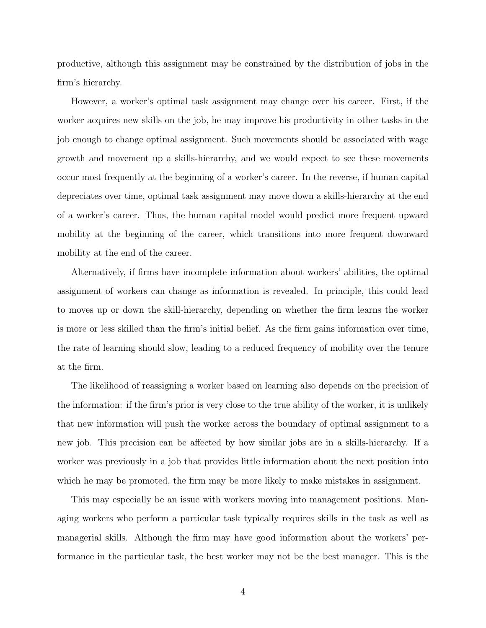productive, although this assignment may be constrained by the distribution of jobs in the firm's hierarchy.

However, a worker's optimal task assignment may change over his career. First, if the worker acquires new skills on the job, he may improve his productivity in other tasks in the job enough to change optimal assignment. Such movements should be associated with wage growth and movement up a skills-hierarchy, and we would expect to see these movements occur most frequently at the beginning of a worker's career. In the reverse, if human capital depreciates over time, optimal task assignment may move down a skills-hierarchy at the end of a worker's career. Thus, the human capital model would predict more frequent upward mobility at the beginning of the career, which transitions into more frequent downward mobility at the end of the career.

Alternatively, if firms have incomplete information about workers' abilities, the optimal assignment of workers can change as information is revealed. In principle, this could lead to moves up or down the skill-hierarchy, depending on whether the firm learns the worker is more or less skilled than the firm's initial belief. As the firm gains information over time, the rate of learning should slow, leading to a reduced frequency of mobility over the tenure at the firm.

The likelihood of reassigning a worker based on learning also depends on the precision of the information: if the firm's prior is very close to the true ability of the worker, it is unlikely that new information will push the worker across the boundary of optimal assignment to a new job. This precision can be affected by how similar jobs are in a skills-hierarchy. If a worker was previously in a job that provides little information about the next position into which he may be promoted, the firm may be more likely to make mistakes in assignment.

This may especially be an issue with workers moving into management positions. Managing workers who perform a particular task typically requires skills in the task as well as managerial skills. Although the firm may have good information about the workers' performance in the particular task, the best worker may not be the best manager. This is the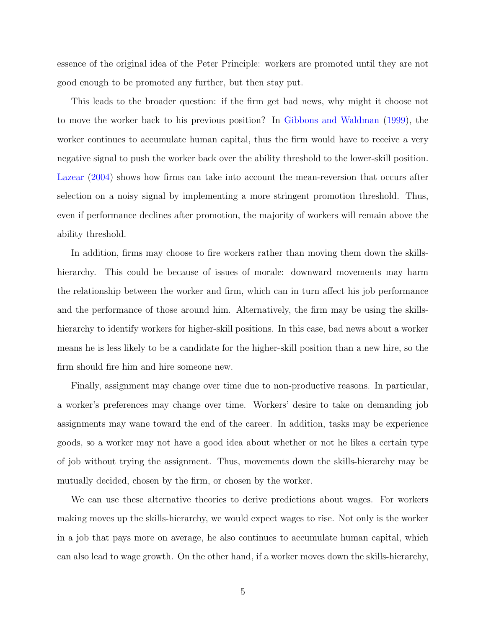essence of the original idea of the Peter Principle: workers are promoted until they are not good enough to be promoted any further, but then stay put.

This leads to the broader question: if the firm get bad news, why might it choose not to move the worker back to his previous position? In [Gibbons and Waldman](#page-32-3) [\(1999\)](#page-32-3), the worker continues to accumulate human capital, thus the firm would have to receive a very negative signal to push the worker back over the ability threshold to the lower-skill position. [Lazear](#page-32-4) [\(2004\)](#page-32-4) shows how firms can take into account the mean-reversion that occurs after selection on a noisy signal by implementing a more stringent promotion threshold. Thus, even if performance declines after promotion, the majority of workers will remain above the ability threshold.

In addition, firms may choose to fire workers rather than moving them down the skillshierarchy. This could be because of issues of morale: downward movements may harm the relationship between the worker and firm, which can in turn affect his job performance and the performance of those around him. Alternatively, the firm may be using the skillshierarchy to identify workers for higher-skill positions. In this case, bad news about a worker means he is less likely to be a candidate for the higher-skill position than a new hire, so the firm should fire him and hire someone new.

Finally, assignment may change over time due to non-productive reasons. In particular, a worker's preferences may change over time. Workers' desire to take on demanding job assignments may wane toward the end of the career. In addition, tasks may be experience goods, so a worker may not have a good idea about whether or not he likes a certain type of job without trying the assignment. Thus, movements down the skills-hierarchy may be mutually decided, chosen by the firm, or chosen by the worker.

We can use these alternative theories to derive predictions about wages. For workers making moves up the skills-hierarchy, we would expect wages to rise. Not only is the worker in a job that pays more on average, he also continues to accumulate human capital, which can also lead to wage growth. On the other hand, if a worker moves down the skills-hierarchy,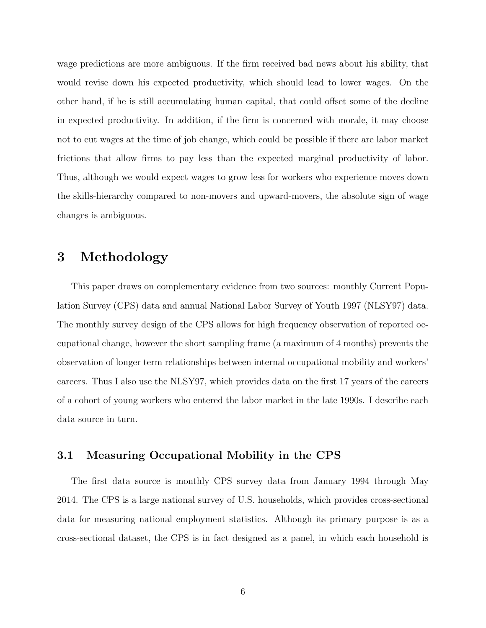wage predictions are more ambiguous. If the firm received bad news about his ability, that would revise down his expected productivity, which should lead to lower wages. On the other hand, if he is still accumulating human capital, that could offset some of the decline in expected productivity. In addition, if the firm is concerned with morale, it may choose not to cut wages at the time of job change, which could be possible if there are labor market frictions that allow firms to pay less than the expected marginal productivity of labor. Thus, although we would expect wages to grow less for workers who experience moves down the skills-hierarchy compared to non-movers and upward-movers, the absolute sign of wage changes is ambiguous.

# 3 Methodology

This paper draws on complementary evidence from two sources: monthly Current Population Survey (CPS) data and annual National Labor Survey of Youth 1997 (NLSY97) data. The monthly survey design of the CPS allows for high frequency observation of reported occupational change, however the short sampling frame (a maximum of 4 months) prevents the observation of longer term relationships between internal occupational mobility and workers' careers. Thus I also use the NLSY97, which provides data on the first 17 years of the careers of a cohort of young workers who entered the labor market in the late 1990s. I describe each data source in turn.

### 3.1 Measuring Occupational Mobility in the CPS

The first data source is monthly CPS survey data from January 1994 through May 2014. The CPS is a large national survey of U.S. households, which provides cross-sectional data for measuring national employment statistics. Although its primary purpose is as a cross-sectional dataset, the CPS is in fact designed as a panel, in which each household is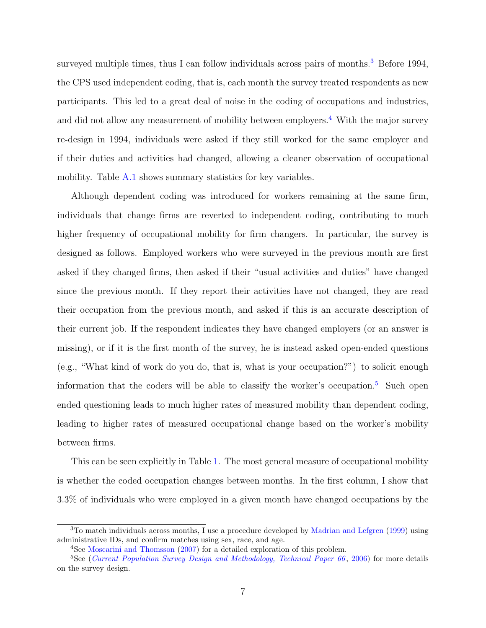surveyed multiple times, thus I can follow individuals across pairs of months.<sup>[3](#page-6-0)</sup> Before 1994, the CPS used independent coding, that is, each month the survey treated respondents as new participants. This led to a great deal of noise in the coding of occupations and industries, and did not allow any measurement of mobility between employers.<sup>[4](#page-6-1)</sup> With the major survey re-design in 1994, individuals were asked if they still worked for the same employer and if their duties and activities had changed, allowing a cleaner observation of occupational mobility. Table [A.1](#page-25-0) shows summary statistics for key variables.

Although dependent coding was introduced for workers remaining at the same firm, individuals that change firms are reverted to independent coding, contributing to much higher frequency of occupational mobility for firm changers. In particular, the survey is designed as follows. Employed workers who were surveyed in the previous month are first asked if they changed firms, then asked if their "usual activities and duties" have changed since the previous month. If they report their activities have not changed, they are read their occupation from the previous month, and asked if this is an accurate description of their current job. If the respondent indicates they have changed employers (or an answer is missing), or if it is the first month of the survey, he is instead asked open-ended questions (e.g., "What kind of work do you do, that is, what is your occupation?") to solicit enough information that the coders will be able to classify the worker's occupation.<sup>[5](#page-6-2)</sup> Such open ended questioning leads to much higher rates of measured mobility than dependent coding, leading to higher rates of measured occupational change based on the worker's mobility between firms.

This can be seen explicitly in Table [1.](#page-7-0) The most general measure of occupational mobility is whether the coded occupation changes between months. In the first column, I show that 3.3% of individuals who were employed in a given month have changed occupations by the

<span id="page-6-0"></span><sup>3</sup>To match individuals across months, I use a procedure developed by [Madrian and Lefgren](#page-32-7) [\(1999\)](#page-32-7) using administrative IDs, and confirm matches using sex, race, and age.

<span id="page-6-2"></span><span id="page-6-1"></span><sup>4</sup>See [Moscarini and Thomsson](#page-32-8) [\(2007\)](#page-32-8) for a detailed exploration of this problem.

<sup>&</sup>lt;sup>5</sup>See ([Current Population Survey Design and Methodology, Technical Paper 66](#page-32-9), [2006\)](#page-32-9) for more details on the survey design.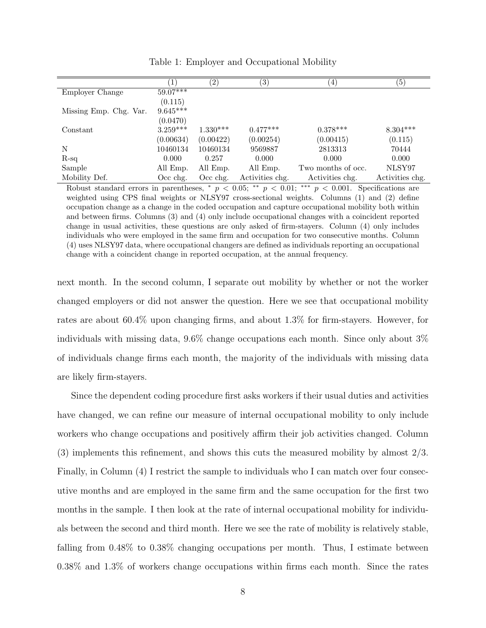<span id="page-7-0"></span>

|                        |            | $\left( 2\right)$ | (3)             | $\left(4\right)$   | (5)             |
|------------------------|------------|-------------------|-----------------|--------------------|-----------------|
| Employer Change        | $59.07***$ |                   |                 |                    |                 |
|                        | (0.115)    |                   |                 |                    |                 |
| Missing Emp. Chg. Var. | $9.645***$ |                   |                 |                    |                 |
|                        | (0.0470)   |                   |                 |                    |                 |
| Constant               | $3.259***$ | $1.330***$        | $0.477***$      | $0.378***$         | $8.304***$      |
|                        | (0.00634)  | (0.00422)         | (0.00254)       | (0.00415)          | (0.115)         |
| N                      | 10460134   | 10460134          | 9569887         | 2813313            | 70444           |
| $R-sq$                 | 0.000      | 0.257             | 0.000           | 0.000              | 0.000           |
| Sample                 | All Emp.   | All Emp.          | All Emp.        | Two months of occ. | NLSY97          |
| Mobility Def.          | $Occ$ chg. | $Occ$ chg.        | Activities chg. | Activities chg.    | Activities chg. |

Table 1: Employer and Occupational Mobility

Robust standard errors in parentheses, \*  $p < 0.05$ ; \*\*  $p < 0.01$ ; \*\*\*  $p < 0.001$ . Specifications are weighted using CPS final weights or NLSY97 cross-sectional weights. Columns (1) and (2) define occupation change as a change in the coded occupation and capture occupational mobility both within and between firms. Columns (3) and (4) only include occupational changes with a coincident reported change in usual activities, these questions are only asked of firm-stayers. Column (4) only includes individuals who were employed in the same firm and occupation for two consecutive months. Column (4) uses NLSY97 data, where occupational changers are defined as individuals reporting an occupational change with a coincident change in reported occupation, at the annual frequency.

next month. In the second column, I separate out mobility by whether or not the worker changed employers or did not answer the question. Here we see that occupational mobility rates are about 60.4% upon changing firms, and about 1.3% for firm-stayers. However, for individuals with missing data, 9.6% change occupations each month. Since only about 3% of individuals change firms each month, the majority of the individuals with missing data are likely firm-stayers.

Since the dependent coding procedure first asks workers if their usual duties and activities have changed, we can refine our measure of internal occupational mobility to only include workers who change occupations and positively affirm their job activities changed. Column (3) implements this refinement, and shows this cuts the measured mobility by almost 2/3. Finally, in Column (4) I restrict the sample to individuals who I can match over four consecutive months and are employed in the same firm and the same occupation for the first two months in the sample. I then look at the rate of internal occupational mobility for individuals between the second and third month. Here we see the rate of mobility is relatively stable, falling from 0.48% to 0.38% changing occupations per month. Thus, I estimate between 0.38% and 1.3% of workers change occupations within firms each month. Since the rates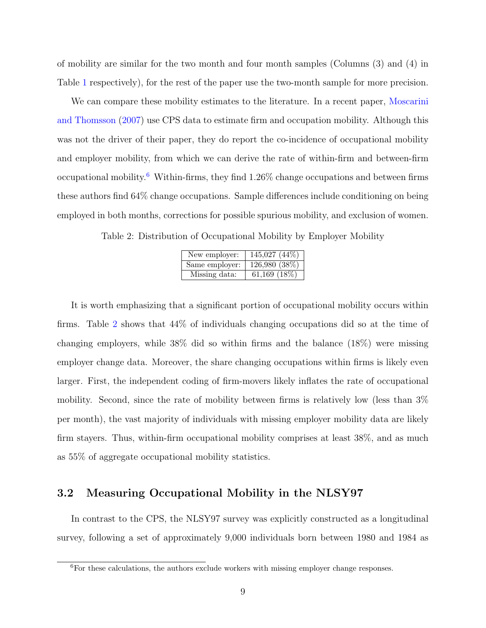of mobility are similar for the two month and four month samples (Columns (3) and (4) in Table [1](#page-7-0) respectively), for the rest of the paper use the two-month sample for more precision.

We can compare these mobility estimates to the literature. In a recent paper, [Moscarini](#page-32-8) [and Thomsson](#page-32-8) [\(2007\)](#page-32-8) use CPS data to estimate firm and occupation mobility. Although this was not the driver of their paper, they do report the co-incidence of occupational mobility and employer mobility, from which we can derive the rate of within-firm and between-firm occupational mobility.<sup>[6](#page-8-0)</sup> Within-firms, they find  $1.26\%$  change occupations and between firms these authors find 64% change occupations. Sample differences include conditioning on being employed in both months, corrections for possible spurious mobility, and exclusion of women.

<span id="page-8-1"></span>Table 2: Distribution of Occupational Mobility by Employer Mobility

| New employer:  | $145,027$ $(44\%)$ |
|----------------|--------------------|
| Same employer: | 126,980 (38%)      |
| Missing data:  | 61,169 $(18\%)$    |

It is worth emphasizing that a significant portion of occupational mobility occurs within firms. Table [2](#page-8-1) shows that 44% of individuals changing occupations did so at the time of changing employers, while 38% did so within firms and the balance (18%) were missing employer change data. Moreover, the share changing occupations within firms is likely even larger. First, the independent coding of firm-movers likely inflates the rate of occupational mobility. Second, since the rate of mobility between firms is relatively low (less than 3% per month), the vast majority of individuals with missing employer mobility data are likely firm stayers. Thus, within-firm occupational mobility comprises at least  $38\%$ , and as much as 55% of aggregate occupational mobility statistics.

### 3.2 Measuring Occupational Mobility in the NLSY97

In contrast to the CPS, the NLSY97 survey was explicitly constructed as a longitudinal survey, following a set of approximately 9,000 individuals born between 1980 and 1984 as

<span id="page-8-0"></span> ${}^{6}$ For these calculations, the authors exclude workers with missing employer change responses.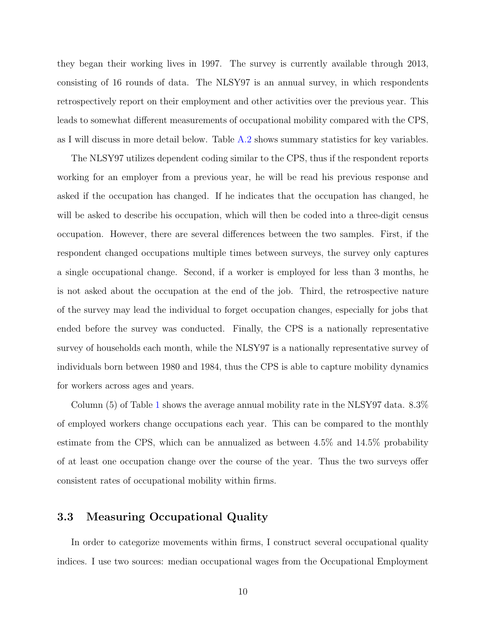they began their working lives in 1997. The survey is currently available through 2013, consisting of 16 rounds of data. The NLSY97 is an annual survey, in which respondents retrospectively report on their employment and other activities over the previous year. This leads to somewhat different measurements of occupational mobility compared with the CPS, as I will discuss in more detail below. Table [A.2](#page-26-0) shows summary statistics for key variables.

The NLSY97 utilizes dependent coding similar to the CPS, thus if the respondent reports working for an employer from a previous year, he will be read his previous response and asked if the occupation has changed. If he indicates that the occupation has changed, he will be asked to describe his occupation, which will then be coded into a three-digit census occupation. However, there are several differences between the two samples. First, if the respondent changed occupations multiple times between surveys, the survey only captures a single occupational change. Second, if a worker is employed for less than 3 months, he is not asked about the occupation at the end of the job. Third, the retrospective nature of the survey may lead the individual to forget occupation changes, especially for jobs that ended before the survey was conducted. Finally, the CPS is a nationally representative survey of households each month, while the NLSY97 is a nationally representative survey of individuals born between 1980 and 1984, thus the CPS is able to capture mobility dynamics for workers across ages and years.

Column (5) of Table [1](#page-7-0) shows the average annual mobility rate in the NLSY97 data. 8.3% of employed workers change occupations each year. This can be compared to the monthly estimate from the CPS, which can be annualized as between 4.5% and 14.5% probability of at least one occupation change over the course of the year. Thus the two surveys offer consistent rates of occupational mobility within firms.

### <span id="page-9-0"></span>3.3 Measuring Occupational Quality

In order to categorize movements within firms, I construct several occupational quality indices. I use two sources: median occupational wages from the Occupational Employment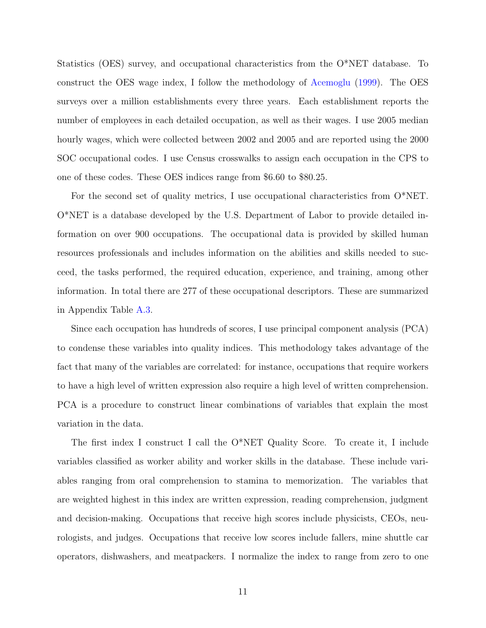Statistics (OES) survey, and occupational characteristics from the O\*NET database. To construct the OES wage index, I follow the methodology of [Acemoglu](#page-32-10) [\(1999\)](#page-32-10). The OES surveys over a million establishments every three years. Each establishment reports the number of employees in each detailed occupation, as well as their wages. I use 2005 median hourly wages, which were collected between 2002 and 2005 and are reported using the 2000 SOC occupational codes. I use Census crosswalks to assign each occupation in the CPS to one of these codes. These OES indices range from \$6.60 to \$80.25.

For the second set of quality metrics, I use occupational characteristics from O\*NET. O\*NET is a database developed by the U.S. Department of Labor to provide detailed information on over 900 occupations. The occupational data is provided by skilled human resources professionals and includes information on the abilities and skills needed to succeed, the tasks performed, the required education, experience, and training, among other information. In total there are 277 of these occupational descriptors. These are summarized in Appendix Table [A.3.](#page-26-1)

Since each occupation has hundreds of scores, I use principal component analysis (PCA) to condense these variables into quality indices. This methodology takes advantage of the fact that many of the variables are correlated: for instance, occupations that require workers to have a high level of written expression also require a high level of written comprehension. PCA is a procedure to construct linear combinations of variables that explain the most variation in the data.

The first index I construct I call the O\*NET Quality Score. To create it, I include variables classified as worker ability and worker skills in the database. These include variables ranging from oral comprehension to stamina to memorization. The variables that are weighted highest in this index are written expression, reading comprehension, judgment and decision-making. Occupations that receive high scores include physicists, CEOs, neurologists, and judges. Occupations that receive low scores include fallers, mine shuttle car operators, dishwashers, and meatpackers. I normalize the index to range from zero to one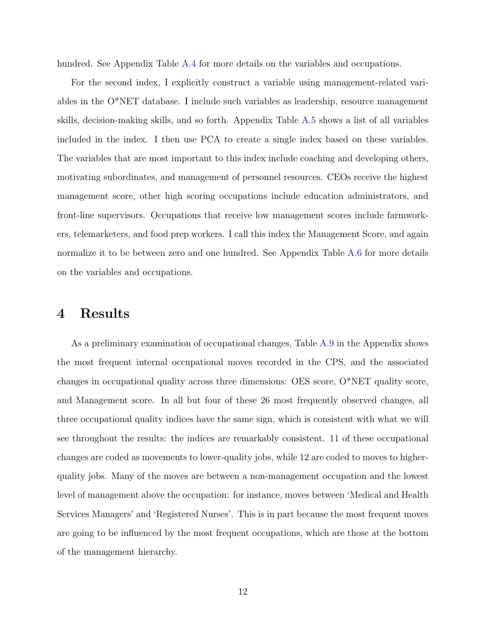hundred. See Appendix Table [A.4](#page-27-0) for more details on the variables and occupations.

For the second index, I explicitly construct a variable using management-related variables in the O\*NET database. I include such variables as leadership, resource management skills, decision-making skills, and so forth. Appendix Table [A.5](#page-28-0) shows a list of all variables included in the index. I then use PCA to create a single index based on these variables. The variables that are most important to this index include coaching and developing others, motivating subordinates, and management of personnel resources. CEOs receive the highest management score, other high scoring occupations include education administrators, and front-line supervisors. Occupations that receive low management scores include farmworkers, telemarketers, and food prep workers. I call this index the Management Score, and again normalize it to be between zero and one hundred. See Appendix Table [A.6](#page-29-0) for more details on the variables and occupations.

## 4 Results

As a preliminary examination of occupational changes, Table [A.9](#page-33-0) in the Appendix shows the most frequent internal occupational moves recorded in the CPS, and the associated changes in occupational quality across three dimensions: OES score, O\*NET quality score, and Management score. In all but four of these 26 most frequently observed changes, all three occupational quality indices have the same sign, which is consistent with what we will see throughout the results: the indices are remarkably consistent. 11 of these occupational changes are coded as movements to lower-quality jobs, while 12 are coded to moves to higherquality jobs. Many of the moves are between a non-management occupation and the lowest level of management above the occupation: for instance, moves between 'Medical and Health Services Managers' and 'Registered Nurses'. This is in part because the most frequent moves are going to be influenced by the most frequent occupations, which are those at the bottom of the management hierarchy.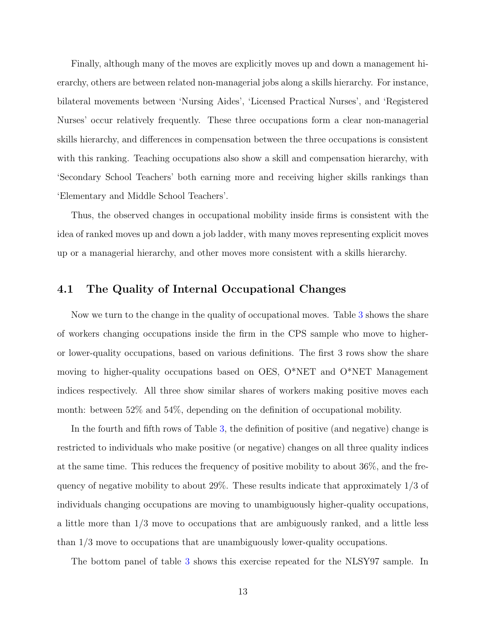Finally, although many of the moves are explicitly moves up and down a management hierarchy, others are between related non-managerial jobs along a skills hierarchy. For instance, bilateral movements between 'Nursing Aides', 'Licensed Practical Nurses', and 'Registered Nurses' occur relatively frequently. These three occupations form a clear non-managerial skills hierarchy, and differences in compensation between the three occupations is consistent with this ranking. Teaching occupations also show a skill and compensation hierarchy, with 'Secondary School Teachers' both earning more and receiving higher skills rankings than 'Elementary and Middle School Teachers'.

Thus, the observed changes in occupational mobility inside firms is consistent with the idea of ranked moves up and down a job ladder, with many moves representing explicit moves up or a managerial hierarchy, and other moves more consistent with a skills hierarchy.

### 4.1 The Quality of Internal Occupational Changes

Now we turn to the change in the quality of occupational moves. Table [3](#page-13-0) shows the share of workers changing occupations inside the firm in the CPS sample who move to higheror lower-quality occupations, based on various definitions. The first 3 rows show the share moving to higher-quality occupations based on OES, O\*NET and O\*NET Management indices respectively. All three show similar shares of workers making positive moves each month: between 52% and 54%, depending on the definition of occupational mobility.

In the fourth and fifth rows of Table [3,](#page-13-0) the definition of positive (and negative) change is restricted to individuals who make positive (or negative) changes on all three quality indices at the same time. This reduces the frequency of positive mobility to about 36%, and the frequency of negative mobility to about 29%. These results indicate that approximately 1/3 of individuals changing occupations are moving to unambiguously higher-quality occupations, a little more than 1/3 move to occupations that are ambiguously ranked, and a little less than 1/3 move to occupations that are unambiguously lower-quality occupations.

The bottom panel of table [3](#page-13-0) shows this exercise repeated for the NLSY97 sample. In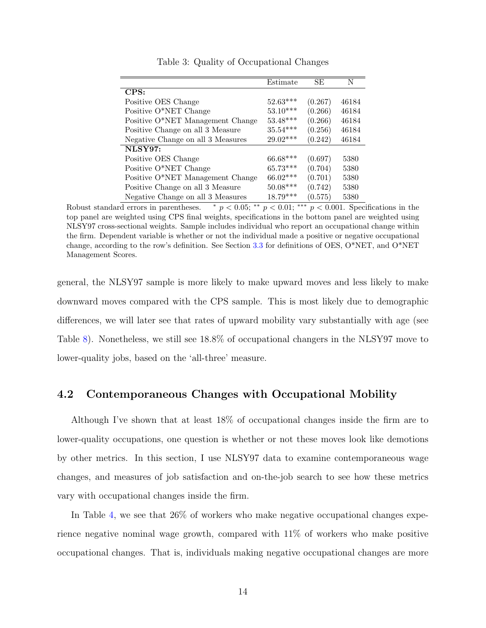<span id="page-13-0"></span>

|                                   | Estimate   | SE      | N     |
|-----------------------------------|------------|---------|-------|
| CPS:                              |            |         |       |
| Positive OES Change               | $52.63***$ | (0.267) | 46184 |
| Positive O*NET Change             | $53.10***$ | (0.266) | 46184 |
| Positive O*NET Management Change  | $53.48***$ | (0.266) | 46184 |
| Positive Change on all 3 Measure  | $35.54***$ | (0.256) | 46184 |
| Negative Change on all 3 Measures | $29.02***$ | (0.242) | 46184 |
| NLSY97:                           |            |         |       |
| Positive OES Change               | $66.68***$ | (0.697) | 5380  |
| Positive O*NET Change             | $65.73***$ | (0.704) | 5380  |
| Positive O*NET Management Change  | 66.02***   | (0.701) | 5380  |
| Positive Change on all 3 Measure  | $50.08***$ | (0.742) | 5380  |
| Negative Change on all 3 Measures | $18.79***$ | (0.575) | 5380  |

Table 3: Quality of Occupational Changes

Robust standard errors in parentheses.  $\ast p < 0.05$ ;  $\ast \ast p < 0.01$ ;  $\ast \ast p < 0.001$ . Specifications in the top panel are weighted using CPS final weights, specifications in the bottom panel are weighted using NLSY97 cross-sectional weights. Sample includes individual who report an occupational change within the firm. Dependent variable is whether or not the individual made a positive or negative occupational change, according to the row's definition. See Section [3.3](#page-9-0) for definitions of OES, O\*NET, and O\*NET Management Scores.

general, the NLSY97 sample is more likely to make upward moves and less likely to make downward moves compared with the CPS sample. This is most likely due to demographic differences, we will later see that rates of upward mobility vary substantially with age (see Table [8\)](#page-20-0). Nonetheless, we still see 18.8% of occupational changers in the NLSY97 move to lower-quality jobs, based on the 'all-three' measure.

### 4.2 Contemporaneous Changes with Occupational Mobility

Although I've shown that at least 18% of occupational changes inside the firm are to lower-quality occupations, one question is whether or not these moves look like demotions by other metrics. In this section, I use NLSY97 data to examine contemporaneous wage changes, and measures of job satisfaction and on-the-job search to see how these metrics vary with occupational changes inside the firm.

In Table [4,](#page-15-0) we see that 26% of workers who make negative occupational changes experience negative nominal wage growth, compared with 11% of workers who make positive occupational changes. That is, individuals making negative occupational changes are more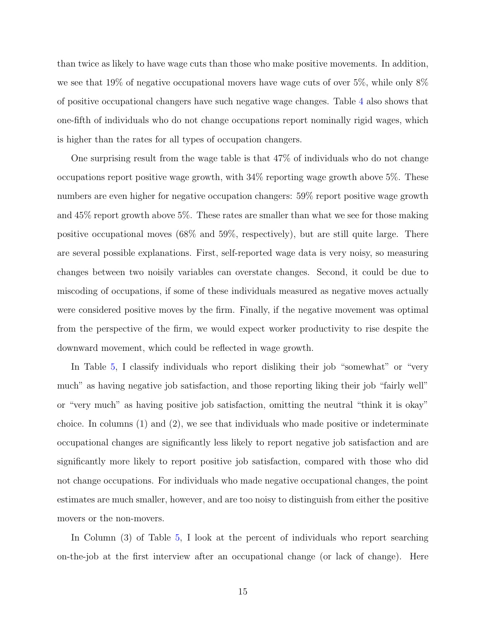than twice as likely to have wage cuts than those who make positive movements. In addition, we see that 19% of negative occupational movers have wage cuts of over 5%, while only 8% of positive occupational changers have such negative wage changes. Table [4](#page-15-0) also shows that one-fifth of individuals who do not change occupations report nominally rigid wages, which is higher than the rates for all types of occupation changers.

One surprising result from the wage table is that 47% of individuals who do not change occupations report positive wage growth, with 34% reporting wage growth above 5%. These numbers are even higher for negative occupation changers: 59% report positive wage growth and 45% report growth above 5%. These rates are smaller than what we see for those making positive occupational moves (68% and 59%, respectively), but are still quite large. There are several possible explanations. First, self-reported wage data is very noisy, so measuring changes between two noisily variables can overstate changes. Second, it could be due to miscoding of occupations, if some of these individuals measured as negative moves actually were considered positive moves by the firm. Finally, if the negative movement was optimal from the perspective of the firm, we would expect worker productivity to rise despite the downward movement, which could be reflected in wage growth.

In Table [5,](#page-16-0) I classify individuals who report disliking their job "somewhat" or "very much" as having negative job satisfaction, and those reporting liking their job "fairly well" or "very much" as having positive job satisfaction, omitting the neutral "think it is okay" choice. In columns (1) and (2), we see that individuals who made positive or indeterminate occupational changes are significantly less likely to report negative job satisfaction and are significantly more likely to report positive job satisfaction, compared with those who did not change occupations. For individuals who made negative occupational changes, the point estimates are much smaller, however, and are too noisy to distinguish from either the positive movers or the non-movers.

In Column (3) of Table [5,](#page-16-0) I look at the percent of individuals who report searching on-the-job at the first interview after an occupational change (or lack of change). Here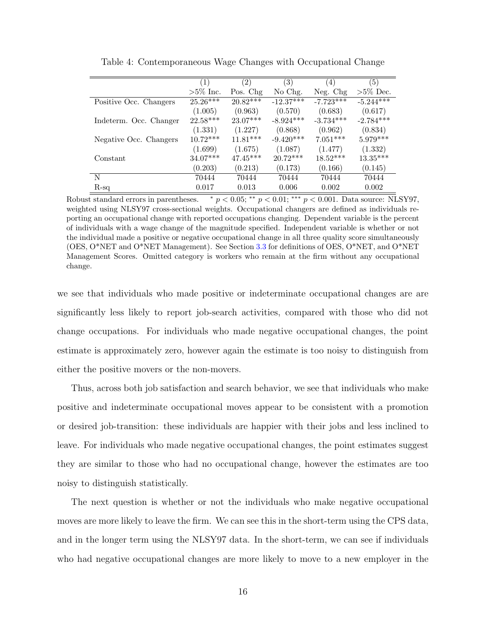<span id="page-15-0"></span>

|                        | (1)         | $\left( 2\right)$ | (3)         | (4)         | (5)         |
|------------------------|-------------|-------------------|-------------|-------------|-------------|
|                        | $>5\%$ Inc. | Pos. Chg          | No Chg.     | Neg. Chg    | $>5\%$ Dec. |
| Positive Occ. Changers | $25.26***$  | $20.82***$        | $-12.37***$ | $-7.723***$ | $-5.244***$ |
|                        | (1.005)     | (0.963)           | (0.570)     | (0.683)     | (0.617)     |
| Indeterm. Occ. Changer | $22.58***$  | $23.07***$        | $-8.924***$ | $-3.734***$ | $-2.784***$ |
|                        | (1.331)     | (1.227)           | (0.868)     | (0.962)     | (0.834)     |
| Negative Occ. Changers | $10.72***$  | $11.81***$        | $-9.420***$ | $7.051***$  | $5.979***$  |
|                        | (1.699)     | (1.675)           | (1.087)     | (1.477)     | (1.332)     |
| Constant               | $34.07***$  | $47.45***$        | $20.72***$  | $18.52***$  | $13.35***$  |
|                        | (0.203)     | (0.213)           | (0.173)     | (0.166)     | (0.145)     |
| N                      | 70444       | 70444             | 70444       | 70444       | 70444       |
| $R-sq$                 | 0.017       | 0.013             | 0.006       | 0.002       | 0.002       |

Table 4: Contemporaneous Wage Changes with Occupational Change

Robust standard errors in parentheses.  $\ast p < 0.05; \ast \ast p < 0.01; \ast \ast \ast p < 0.001$ . Data source: NLSY97, weighted using NLSY97 cross-sectional weights. Occupational changers are defined as individuals reporting an occupational change with reported occupations changing. Dependent variable is the percent of individuals with a wage change of the magnitude specified. Independent variable is whether or not the individual made a positive or negative occupational change in all three quality score simultaneously (OES, O\*NET and O\*NET Management). See Section [3.3](#page-9-0) for definitions of OES, O\*NET, and O\*NET Management Scores. Omitted category is workers who remain at the firm without any occupational change.

we see that individuals who made positive or indeterminate occupational changes are are significantly less likely to report job-search activities, compared with those who did not change occupations. For individuals who made negative occupational changes, the point estimate is approximately zero, however again the estimate is too noisy to distinguish from either the positive movers or the non-movers.

Thus, across both job satisfaction and search behavior, we see that individuals who make positive and indeterminate occupational moves appear to be consistent with a promotion or desired job-transition: these individuals are happier with their jobs and less inclined to leave. For individuals who made negative occupational changes, the point estimates suggest they are similar to those who had no occupational change, however the estimates are too noisy to distinguish statistically.

The next question is whether or not the individuals who make negative occupational moves are more likely to leave the firm. We can see this in the short-term using the CPS data, and in the longer term using the NLSY97 data. In the short-term, we can see if individuals who had negative occupational changes are more likely to move to a new employer in the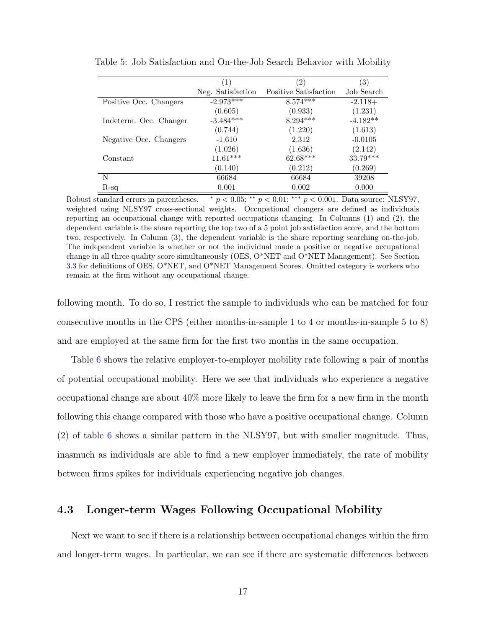|                        | (1)               | $\left( 2\right)$     | $\left( 3\right)$ |
|------------------------|-------------------|-----------------------|-------------------|
|                        | Neg. Satisfaction | Positive Satisfaction | Job Search        |
| Positive Occ. Changers | $-2.973***$       | $8.574***$            | $-2.118+$         |
|                        | (0.605)           | (0.933)               | (1.231)           |
| Indeterm. Occ. Changer | $-3.484***$       | $8.294***$            | $-4.182**$        |
|                        | (0.744)           | (1.220)               | (1.613)           |
| Negative Occ. Changers | $-1.610$          | 2.312                 | $-0.0105$         |
|                        | (1.026)           | (1.636)               | (2.142)           |
| Constant               | $11.61***$        | $62.68***$            | 33.79***          |
|                        | (0.140)           | (0.212)               | (0.269)           |
| N                      | 66684             | 66684                 | 39208             |
| $R$ -sq                | 0.001             | 0.002                 | 0.000             |

<span id="page-16-0"></span>Table 5: Job Satisfaction and On-the-Job Search Behavior with Mobility

Robust standard errors in parentheses.  $\ast p < 0.05; \ast \ast p < 0.01; \ast \ast \ast p < 0.001$ . Data source: NLSY97, weighted using NLSY97 cross-sectional weights. Occupational changers are defined as individuals reporting an occupational change with reported occupations changing. In Columns (1) and (2), the dependent variable is the share reporting the top two of a 5 point job satisfaction score, and the bottom two, respectively. In Column (3), the dependent variable is the share reporting searching on-the-job. The independent variable is whether or not the individual made a positive or negative occupational change in all three quality score simultaneously (OES, O\*NET and O\*NET Management). See Section [3.3](#page-9-0) for definitions of OES, O\*NET, and O\*NET Management Scores. Omitted category is workers who remain at the firm without any occupational change.

following month. To do so, I restrict the sample to individuals who can be matched for four consecutive months in the CPS (either months-in-sample 1 to 4 or months-in-sample 5 to 8) and are employed at the same firm for the first two months in the same occupation.

Table [6](#page-17-0) shows the relative employer-to-employer mobility rate following a pair of months of potential occupational mobility. Here we see that individuals who experience a negative occupational change are about 40% more likely to leave the firm for a new firm in the month following this change compared with those who have a positive occupational change. Column (2) of table [6](#page-17-0) shows a similar pattern in the NLSY97, but with smaller magnitude. Thus, inasmuch as individuals are able to find a new employer immediately, the rate of mobility between firms spikes for individuals experiencing negative job changes.

### 4.3 Longer-term Wages Following Occupational Mobility

Next we want to see if there is a relationship between occupational changes within the firm and longer-term wages. In particular, we can see if there are systematic differences between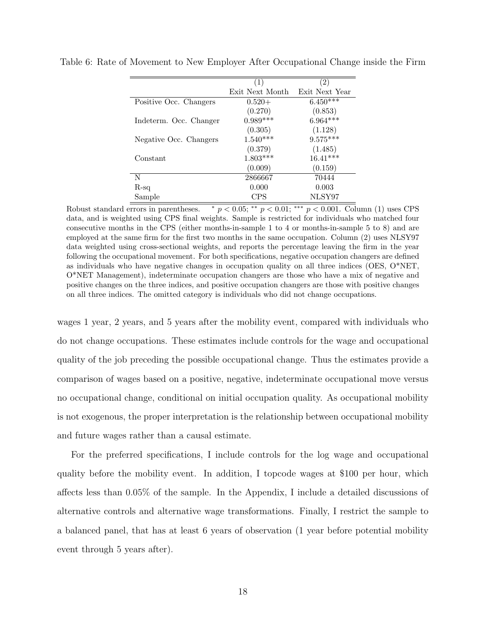| (1)             | (2)            |
|-----------------|----------------|
| Exit Next Month | Exit Next Year |
| $0.520+$        | $6.450***$     |
| (0.270)         | (0.853)        |
| $0.989***$      | $6.964***$     |
| (0.305)         | (1.128)        |
| $1.540***$      | $9.575***$     |
| (0.379)         | (1.485)        |
| $1.803***$      | $16.41***$     |
| (0.009)         | (0.159)        |
| 2866667         | 70444          |
| 0.000           | 0.003          |
| <b>CPS</b>      | NLSY97         |
|                 |                |

<span id="page-17-0"></span>Table 6: Rate of Movement to New Employer After Occupational Change inside the Firm

Robust standard errors in parentheses.  $\ast p < 0.05$ ; \*\*  $p < 0.01$ ; \*\*  $p < 0.001$ . Column (1) uses CPS data, and is weighted using CPS final weights. Sample is restricted for individuals who matched four consecutive months in the CPS (either months-in-sample 1 to 4 or months-in-sample 5 to 8) and are employed at the same firm for the first two months in the same occupation. Column (2) uses NLSY97 data weighted using cross-sectional weights, and reports the percentage leaving the firm in the year following the occupational movement. For both specifications, negative occupation changers are defined as individuals who have negative changes in occupation quality on all three indices (OES, O\*NET, O\*NET Management), indeterminate occupation changers are those who have a mix of negative and positive changes on the three indices, and positive occupation changers are those with positive changes on all three indices. The omitted category is individuals who did not change occupations.

wages 1 year, 2 years, and 5 years after the mobility event, compared with individuals who do not change occupations. These estimates include controls for the wage and occupational quality of the job preceding the possible occupational change. Thus the estimates provide a comparison of wages based on a positive, negative, indeterminate occupational move versus no occupational change, conditional on initial occupation quality. As occupational mobility is not exogenous, the proper interpretation is the relationship between occupational mobility and future wages rather than a causal estimate.

For the preferred specifications, I include controls for the log wage and occupational quality before the mobility event. In addition, I topcode wages at \$100 per hour, which affects less than 0.05% of the sample. In the Appendix, I include a detailed discussions of alternative controls and alternative wage transformations. Finally, I restrict the sample to a balanced panel, that has at least 6 years of observation (1 year before potential mobility event through 5 years after).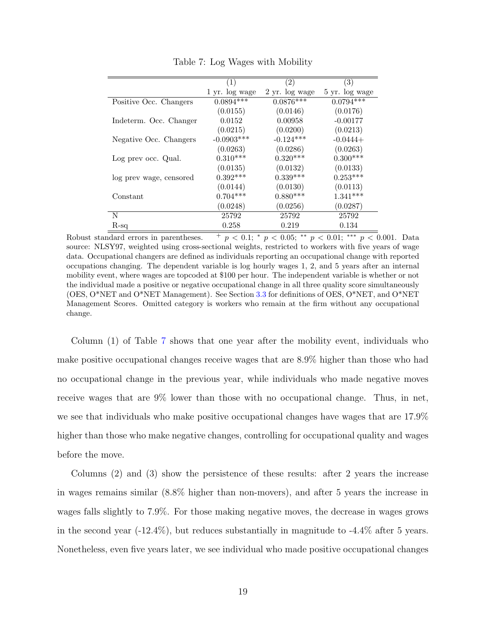<span id="page-18-0"></span>

|                         | $\left( 1\right)$ | $\left( 2\right)$ | (3)            |
|-------------------------|-------------------|-------------------|----------------|
|                         | 1 yr. log wage    | 2 yr. log wage    | 5 yr. log wage |
| Positive Occ. Changers  | $0.0894***$       | $0.0876***$       | $0.0794***$    |
|                         | (0.0155)          | (0.0146)          | (0.0176)       |
| Indeterm. Occ. Changer  | 0.0152            | 0.00958           | $-0.00177$     |
|                         | (0.0215)          | (0.0200)          | (0.0213)       |
| Negative Occ. Changers  | $-0.0903***$      | $-0.124***$       | $-0.0444+$     |
|                         | (0.0263)          | (0.0286)          | (0.0263)       |
| Log prev occ. Qual.     | $0.310***$        | $0.320***$        | $0.300***$     |
|                         | (0.0135)          | (0.0132)          | (0.0133)       |
| log prev wage, censored | $0.392***$        | $0.339***$        | $0.253***$     |
|                         | (0.0144)          | (0.0130)          | (0.0113)       |
| Constant                | $0.704***$        | $0.880***$        | $1.341***$     |
|                         | (0.0248)          | (0.0256)          | (0.0287)       |
| N                       | 25792             | 25792             | 25792          |
| $R-sq$                  | 0.258             | 0.219             | 0.134          |

Table 7: Log Wages with Mobility

Robust standard errors in parentheses.  $+p < 0.1$ ; \*  $p < 0.05$ ; \*\*  $p < 0.01$ ; \*\*\*  $p < 0.001$ . Data source: NLSY97, weighted using cross-sectional weights, restricted to workers with five years of wage data. Occupational changers are defined as individuals reporting an occupational change with reported occupations changing. The dependent variable is log hourly wages 1, 2, and 5 years after an internal mobility event, where wages are topcoded at \$100 per hour. The independent variable is whether or not the individual made a positive or negative occupational change in all three quality score simultaneously (OES, O\*NET and O\*NET Management). See Section [3.3](#page-9-0) for definitions of OES, O\*NET, and O\*NET Management Scores. Omitted category is workers who remain at the firm without any occupational change.

Column (1) of Table [7](#page-18-0) shows that one year after the mobility event, individuals who make positive occupational changes receive wages that are 8.9% higher than those who had no occupational change in the previous year, while individuals who made negative moves receive wages that are 9% lower than those with no occupational change. Thus, in net, we see that individuals who make positive occupational changes have wages that are 17.9% higher than those who make negative changes, controlling for occupational quality and wages before the move.

Columns (2) and (3) show the persistence of these results: after 2 years the increase in wages remains similar (8.8% higher than non-movers), and after 5 years the increase in wages falls slightly to 7.9%. For those making negative moves, the decrease in wages grows in the second year  $(-12.4\%)$ , but reduces substantially in magnitude to  $-4.4\%$  after 5 years. Nonetheless, even five years later, we see individual who made positive occupational changes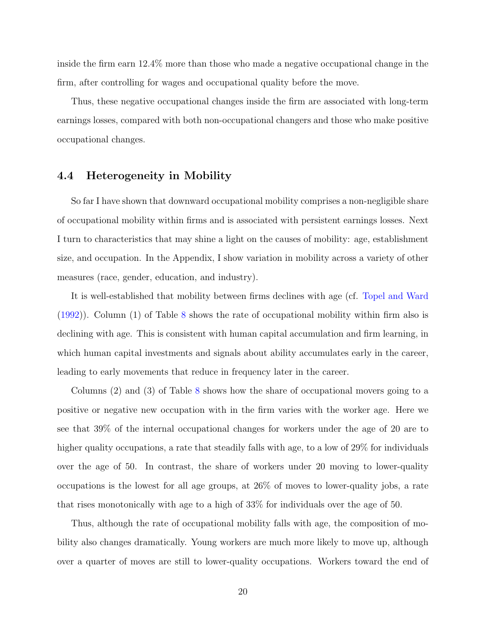inside the firm earn 12.4% more than those who made a negative occupational change in the firm, after controlling for wages and occupational quality before the move.

Thus, these negative occupational changes inside the firm are associated with long-term earnings losses, compared with both non-occupational changers and those who make positive occupational changes.

### 4.4 Heterogeneity in Mobility

So far I have shown that downward occupational mobility comprises a non-negligible share of occupational mobility within firms and is associated with persistent earnings losses. Next I turn to characteristics that may shine a light on the causes of mobility: age, establishment size, and occupation. In the Appendix, I show variation in mobility across a variety of other measures (race, gender, education, and industry).

It is well-established that mobility between firms declines with age (cf. [Topel and Ward](#page-32-1) [\(1992\)](#page-32-1)). Column (1) of Table [8](#page-20-0) shows the rate of occupational mobility within firm also is declining with age. This is consistent with human capital accumulation and firm learning, in which human capital investments and signals about ability accumulates early in the career, leading to early movements that reduce in frequency later in the career.

Columns (2) and (3) of Table [8](#page-20-0) shows how the share of occupational movers going to a positive or negative new occupation with in the firm varies with the worker age. Here we see that 39% of the internal occupational changes for workers under the age of 20 are to higher quality occupations, a rate that steadily falls with age, to a low of 29% for individuals over the age of 50. In contrast, the share of workers under 20 moving to lower-quality occupations is the lowest for all age groups, at 26% of moves to lower-quality jobs, a rate that rises monotonically with age to a high of 33% for individuals over the age of 50.

Thus, although the rate of occupational mobility falls with age, the composition of mobility also changes dramatically. Young workers are much more likely to move up, although over a quarter of moves are still to lower-quality occupations. Workers toward the end of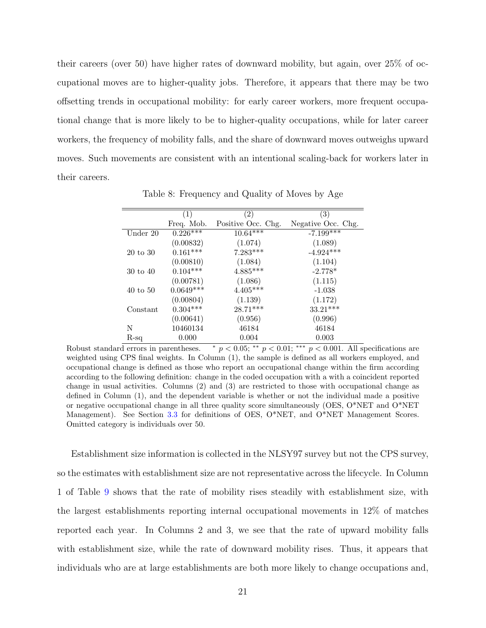their careers (over 50) have higher rates of downward mobility, but again, over 25% of occupational moves are to higher-quality jobs. Therefore, it appears that there may be two offsetting trends in occupational mobility: for early career workers, more frequent occupational change that is more likely to be to higher-quality occupations, while for later career workers, the frequency of mobility falls, and the share of downward moves outweighs upward moves. Such movements are consistent with an intentional scaling-back for workers later in their careers.

<span id="page-20-0"></span>

| (1)         | $\left( 2\right)$  | (3)                |
|-------------|--------------------|--------------------|
| Freq. Mob.  | Positive Occ. Chg. | Negative Occ. Chg. |
| $0.226***$  | $10.64***$         | $-7.199***$        |
| (0.00832)   | (1.074)            | (1.089)            |
| $0.161***$  | $7.283***$         | $-4.924***$        |
| (0.00810)   | (1.084)            | (1.104)            |
| $0.104***$  | $4.885***$         | $-2.778*$          |
| (0.00781)   | (1.086)            | (1.115)            |
| $0.0649***$ | $4.405***$         | $-1.038$           |
| (0.00804)   | (1.139)            | (1.172)            |
| $0.304***$  | $28.71***$         | $33.21***$         |
| (0.00641)   | (0.956)            | (0.996)            |
| 10460134    | 46184              | 46184              |
| 0.000       | 0.004              | 0.003              |
|             |                    |                    |

Table 8: Frequency and Quality of Moves by Age

Robust standard errors in parentheses.  $* p < 0.05; ** p < 0.01; ** p < 0.001$ . All specifications are weighted using CPS final weights. In Column (1), the sample is defined as all workers employed, and occupational change is defined as those who report an occupational change within the firm according according to the following definition: change in the coded occupation with a with a coincident reported change in usual activities. Columns (2) and (3) are restricted to those with occupational change as defined in Column (1), and the dependent variable is whether or not the individual made a positive or negative occupational change in all three quality score simultaneously (OES, O\*NET and O\*NET Management). See Section [3.3](#page-9-0) for definitions of OES, O\*NET, and O\*NET Management Scores. Omitted category is individuals over 50.

Establishment size information is collected in the NLSY97 survey but not the CPS survey, so the estimates with establishment size are not representative across the lifecycle. In Column 1 of Table [9](#page-21-0) shows that the rate of mobility rises steadily with establishment size, with the largest establishments reporting internal occupational movements in 12% of matches reported each year. In Columns 2 and 3, we see that the rate of upward mobility falls with establishment size, while the rate of downward mobility rises. Thus, it appears that individuals who are at large establishments are both more likely to change occupations and,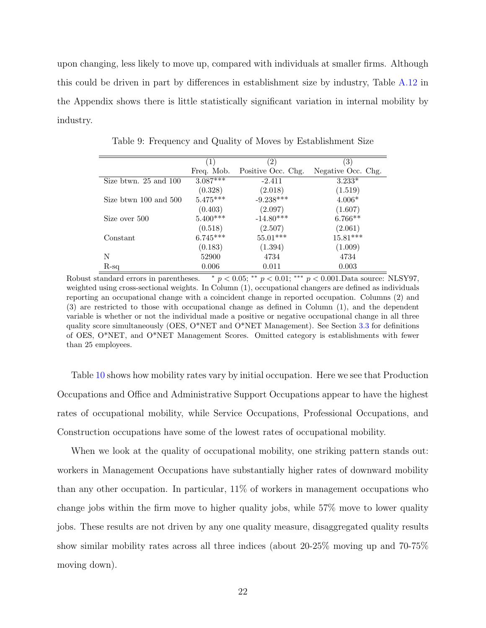upon changing, less likely to move up, compared with individuals at smaller firms. Although this could be driven in part by differences in establishment size by industry, Table [A.12](#page-35-0) in the Appendix shows there is little statistically significant variation in internal mobility by industry.

<span id="page-21-0"></span>

|                           | (1)        | $\left( 2\right)$  | $\left( 3\right)$  |
|---------------------------|------------|--------------------|--------------------|
|                           |            |                    |                    |
|                           | Freq. Mob. | Positive Occ. Chg. | Negative Occ. Chg. |
| Size btwn. $25$ and $100$ | $3.087***$ | $-2.411$           | $3.233*$           |
|                           | (0.328)    | (2.018)            | (1.519)            |
| Size btwn 100 and 500     | $5.475***$ | $-9.238***$        | $4.006*$           |
|                           | (0.403)    | (2.097)            | (1.607)            |
| Size over 500             | $5.400***$ | $-14.80***$        | $6.766**$          |
|                           | (0.518)    | (2.507)            | (2.061)            |
| Constant                  | $6.745***$ | $55.01***$         | $15.81***$         |
|                           | (0.183)    | (1.394)            | (1.009)            |
| N                         | 52900      | 4734               | 4734               |
| $R-sq$                    | 0.006      | 0.011              | 0.003              |

Table 9: Frequency and Quality of Moves by Establishment Size

Robust standard errors in parentheses.  $\bar{p} < 0.05$ ; \*\*  $p < 0.01$ ; \*\*\*  $p < 0.001$ . Data source: NLSY97, weighted using cross-sectional weights. In Column (1), occupational changers are defined as individuals reporting an occupational change with a coincident change in reported occupation. Columns (2) and (3) are restricted to those with occupational change as defined in Column (1), and the dependent variable is whether or not the individual made a positive or negative occupational change in all three quality score simultaneously (OES,  $O^*NET$  and  $O^*NET$  Management). See Section [3.3](#page-9-0) for definitions of OES, O\*NET, and O\*NET Management Scores. Omitted category is establishments with fewer than 25 employees.

Table [10](#page-22-0) shows how mobility rates vary by initial occupation. Here we see that Production Occupations and Office and Administrative Support Occupations appear to have the highest rates of occupational mobility, while Service Occupations, Professional Occupations, and Construction occupations have some of the lowest rates of occupational mobility.

When we look at the quality of occupational mobility, one striking pattern stands out: workers in Management Occupations have substantially higher rates of downward mobility than any other occupation. In particular, 11% of workers in management occupations who change jobs within the firm move to higher quality jobs, while 57% move to lower quality jobs. These results are not driven by any one quality measure, disaggregated quality results show similar mobility rates across all three indices (about 20-25% moving up and 70-75% moving down).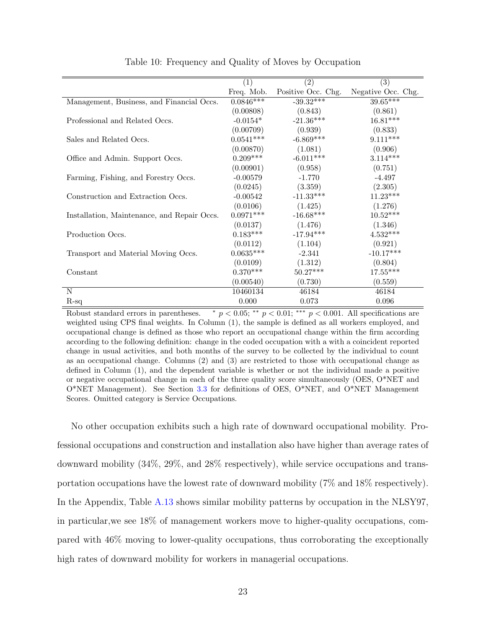<span id="page-22-0"></span>

|                                             | (1)         | (2)                | (3)                |
|---------------------------------------------|-------------|--------------------|--------------------|
|                                             | Freq. Mob.  | Positive Occ. Chg. | Negative Occ. Chg. |
| Management, Business, and Financial Occs.   | $0.0846***$ | $-39.32***$        | $39.65***$         |
|                                             | (0.00808)   | (0.843)            | (0.861)            |
| Professional and Related Occs.              | $-0.0154*$  | $-21.36***$        | $16.81***$         |
|                                             | (0.00709)   | (0.939)            | (0.833)            |
| Sales and Related Occs.                     | $0.0541***$ | $-6.869***$        | $9.111***$         |
|                                             | (0.00870)   | (1.081)            | (0.906)            |
| Office and Admin. Support Occs.             | $0.209***$  | $-6.011***$        | $3.114***$         |
|                                             | (0.00901)   | (0.958)            | (0.751)            |
| Farming, Fishing, and Forestry Occs.        | $-0.00579$  | $-1.770$           | $-4.497$           |
|                                             | (0.0245)    | (3.359)            | (2.305)            |
| Construction and Extraction Occs.           | $-0.00542$  | $-11.33***$        | $11.23***$         |
|                                             | (0.0106)    | (1.425)            | (1.276)            |
| Installation, Maintenance, and Repair Occs. | $0.0971***$ | $-16.68***$        | $10.52***$         |
|                                             | (0.0137)    | (1.476)            | (1.346)            |
| Production Occs.                            | $0.183***$  | $-17.94***$        | $4.532***$         |
|                                             | (0.0112)    | (1.104)            | (0.921)            |
| Transport and Material Moving Occs.         | $0.0635***$ | $-2.341$           | $-10.17***$        |
|                                             | (0.0109)    | (1.312)            | (0.804)            |
| Constant                                    | $0.370***$  | $50.27***$         | $17.55***$         |
|                                             | (0.00540)   | (0.730)            | (0.559)            |
| N                                           | 10460134    | 46184              | 46184              |
| $R-sq$                                      | 0.000       | 0.073              | 0.096              |

Table 10: Frequency and Quality of Moves by Occupation

Robust standard errors in parentheses.  $\ast p < 0.05$ ;  $\ast \ast p < 0.01$ ;  $\ast \ast p < 0.001$ . All specifications are weighted using CPS final weights. In Column (1), the sample is defined as all workers employed, and occupational change is defined as those who report an occupational change within the firm according according to the following definition: change in the coded occupation with a with a coincident reported change in usual activities, and both months of the survey to be collected by the individual to count as an occupational change. Columns (2) and (3) are restricted to those with occupational change as defined in Column (1), and the dependent variable is whether or not the individual made a positive or negative occupational change in each of the three quality score simultaneously (OES, O\*NET and  $O^*NET$  Management). See Section [3.3](#page-9-0) for definitions of OES,  $O^*NET$ , and  $O^*NET$  Management Scores. Omitted category is Service Occupations.

No other occupation exhibits such a high rate of downward occupational mobility. Professional occupations and construction and installation also have higher than average rates of downward mobility (34%, 29%, and 28% respectively), while service occupations and transportation occupations have the lowest rate of downward mobility (7% and 18% respectively). In the Appendix, Table [A.13](#page-36-0) shows similar mobility patterns by occupation in the NLSY97, in particular,we see 18% of management workers move to higher-quality occupations, compared with 46% moving to lower-quality occupations, thus corroborating the exceptionally high rates of downward mobility for workers in managerial occupations.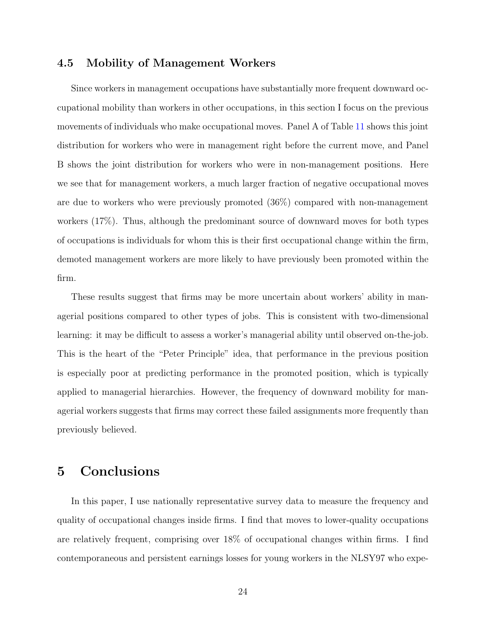### 4.5 Mobility of Management Workers

Since workers in management occupations have substantially more frequent downward occupational mobility than workers in other occupations, in this section I focus on the previous movements of individuals who make occupational moves. Panel A of Table [11](#page-24-0) shows this joint distribution for workers who were in management right before the current move, and Panel B shows the joint distribution for workers who were in non-management positions. Here we see that for management workers, a much larger fraction of negative occupational moves are due to workers who were previously promoted (36%) compared with non-management workers (17%). Thus, although the predominant source of downward moves for both types of occupations is individuals for whom this is their first occupational change within the firm, demoted management workers are more likely to have previously been promoted within the firm.

These results suggest that firms may be more uncertain about workers' ability in managerial positions compared to other types of jobs. This is consistent with two-dimensional learning: it may be difficult to assess a worker's managerial ability until observed on-the-job. This is the heart of the "Peter Principle" idea, that performance in the previous position is especially poor at predicting performance in the promoted position, which is typically applied to managerial hierarchies. However, the frequency of downward mobility for managerial workers suggests that firms may correct these failed assignments more frequently than previously believed.

# 5 Conclusions

In this paper, I use nationally representative survey data to measure the frequency and quality of occupational changes inside firms. I find that moves to lower-quality occupations are relatively frequent, comprising over 18% of occupational changes within firms. I find contemporaneous and persistent earnings losses for young workers in the NLSY97 who expe-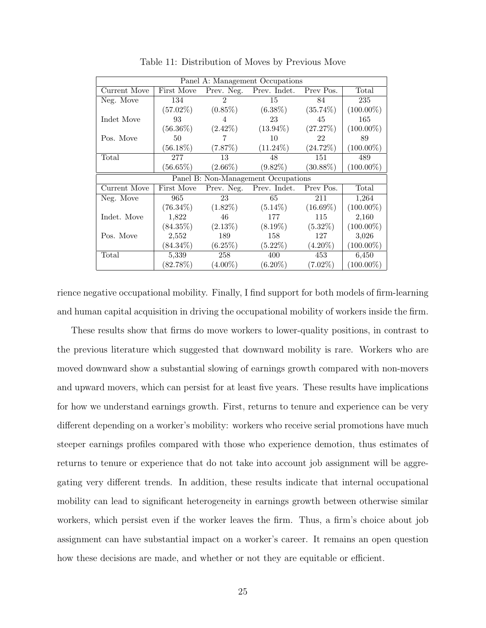<span id="page-24-0"></span>

| Panel A: Management Occupations |             |                |                                     |             |              |  |
|---------------------------------|-------------|----------------|-------------------------------------|-------------|--------------|--|
| Current Move                    | First Move  |                | Prev. Neg. Prev. Indet.             | Prev Pos.   | Total        |  |
| Neg. Move                       | 134         | $\mathfrak{D}$ | 15                                  | 84          | 235          |  |
|                                 | $(57.02\%)$ | $(0.85\%)$     | $(6.38\%)$                          | $(35.74\%)$ | $(100.00\%)$ |  |
| Indet Move                      | 93          | 4              | 23                                  | 45          | 165          |  |
|                                 | $(56.36\%)$ | $(2.42\%)$     | $(13.94\%)$                         | (27.27%)    | $(100.00\%)$ |  |
| Pos. Move                       | 50          | 7              | 10                                  | 22          | 89           |  |
|                                 | $(56.18\%)$ | (7.87%)        | $(11.24\%)$                         | $(24.72\%)$ | $(100.00\%)$ |  |
| Total                           | 277         | 13             | 48                                  | 151         | 489          |  |
|                                 | $(56.65\%)$ | $(2.66\%)$     | $(9.82\%)$                          | $(30.88\%)$ | $(100.00\%)$ |  |
|                                 |             |                | Panel B: Non-Management Occupations |             |              |  |
| Current Move                    | First Move  | Prev. Neg.     | Prev. Indet. Prev Pos.              |             | Total        |  |
| Neg. Move                       | 965         | 23             | 65                                  | 211         | 1,264        |  |
|                                 | $(76.34\%)$ | $(1.82\%)$     | $(5.14\%)$                          | $(16.69\%)$ | $(100.00\%)$ |  |
| Indet. Move                     | 1,822       | 46             | 177                                 | 115         | 2,160        |  |
|                                 | $(84.35\%)$ | $(2.13\%)$     | $(8.19\%)$                          | $(5.32\%)$  | $(100.00\%)$ |  |
| Pos. Move                       | 2,552       | 189            | 158                                 | 127         | 3,026        |  |
|                                 | $(84.34\%)$ | (6.25%)        | $(5.22\%)$                          | $(4.20\%)$  | $(100.00\%)$ |  |
| $\rm Total$                     | 5,339       | 258            | 400                                 | 453         | 6,450        |  |
|                                 | $(82.78\%)$ | $(4.00\%)$     | $(6.20\%)$                          | $(7.02\%)$  | $(100.00\%)$ |  |

Table 11: Distribution of Moves by Previous Move

rience negative occupational mobility. Finally, I find support for both models of firm-learning and human capital acquisition in driving the occupational mobility of workers inside the firm.

These results show that firms do move workers to lower-quality positions, in contrast to the previous literature which suggested that downward mobility is rare. Workers who are moved downward show a substantial slowing of earnings growth compared with non-movers and upward movers, which can persist for at least five years. These results have implications for how we understand earnings growth. First, returns to tenure and experience can be very different depending on a worker's mobility: workers who receive serial promotions have much steeper earnings profiles compared with those who experience demotion, thus estimates of returns to tenure or experience that do not take into account job assignment will be aggregating very different trends. In addition, these results indicate that internal occupational mobility can lead to significant heterogeneity in earnings growth between otherwise similar workers, which persist even if the worker leaves the firm. Thus, a firm's choice about job assignment can have substantial impact on a worker's career. It remains an open question how these decisions are made, and whether or not they are equitable or efficient.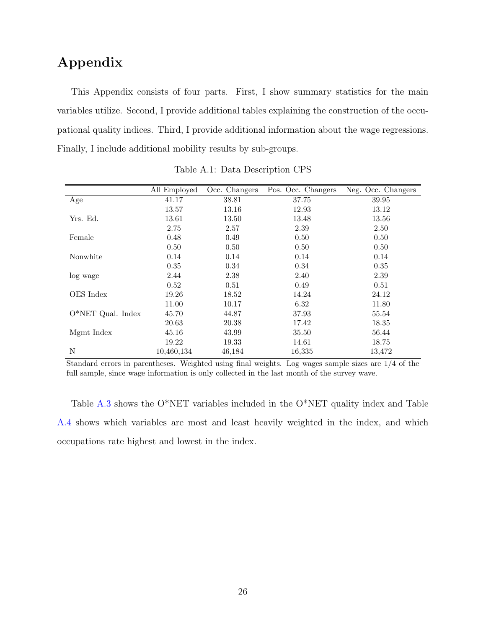# Appendix

This Appendix consists of four parts. First, I show summary statistics for the main variables utilize. Second, I provide additional tables explaining the construction of the occupational quality indices. Third, I provide additional information about the wage regressions. Finally, I include additional mobility results by sub-groups.

<span id="page-25-0"></span>

|                     | All Employed | Occ. Changers | Pos. Occ. Changers | Neg. Occ. Changers |
|---------------------|--------------|---------------|--------------------|--------------------|
| Age                 | 41.17        | 38.81         | 37.75              | 39.95              |
|                     | 13.57        | 13.16         | 12.93              | 13.12              |
| Yrs. Ed.            | 13.61        | 13.50         | 13.48              | 13.56              |
|                     | 2.75         | 2.57          | 2.39               | 2.50               |
| Female              | 0.48         | 0.49          | 0.50               | 0.50               |
|                     | 0.50         | 0.50          | 0.50               | 0.50               |
| Nonwhite            | 0.14         | 0.14          | 0.14               | 0.14               |
|                     | 0.35         | 0.34          | 0.34               | 0.35               |
| log wage            | 2.44         | 2.38          | 2.40               | 2.39               |
|                     | 0.52         | 0.51          | 0.49               | 0.51               |
| OES Index           | 19.26        | 18.52         | 14.24              | 24.12              |
|                     | 11.00        | 10.17         | 6.32               | 11.80              |
| $O*NET$ Qual. Index | 45.70        | 44.87         | 37.93              | 55.54              |
|                     | 20.63        | 20.38         | 17.42              | 18.35              |
| Mgmt Index          | 45.16        | 43.99         | 35.50              | 56.44              |
|                     | 19.22        | 19.33         | 14.61              | 18.75              |
| N                   | 10,460,134   | 46,184        | 16,335             | 13,472             |

Table A.1: Data Description CPS

Standard errors in parentheses. Weighted using final weights. Log wages sample sizes are 1/4 of the full sample, since wage information is only collected in the last month of the survey wave.

Table [A.3](#page-26-1) shows the O\*NET variables included in the O\*NET quality index and Table [A.4](#page-27-0) shows which variables are most and least heavily weighted in the index, and which occupations rate highest and lowest in the index.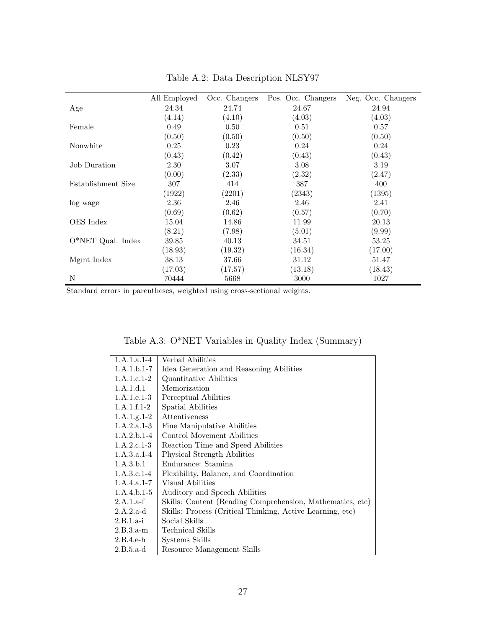<span id="page-26-0"></span>

|                     | All Employed | Occ. Changers | Pos. Occ. Changers | Neg. Occ. Changers |
|---------------------|--------------|---------------|--------------------|--------------------|
| Age                 | 24.34        | 24.74         | 24.67              | 24.94              |
|                     | (4.14)       | (4.10)        | (4.03)             | (4.03)             |
| Female              | 0.49         | 0.50          | 0.51               | 0.57               |
|                     | (0.50)       | (0.50)        | (0.50)             | (0.50)             |
| Nonwhite            | 0.25         | 0.23          | 0.24               | 0.24               |
|                     | (0.43)       | (0.42)        | (0.43)             | (0.43)             |
| Job Duration        | 2.30         | 3.07          | 3.08               | 3.19               |
|                     | (0.00)       | (2.33)        | (2.32)             | (2.47)             |
| Establishment Size  | 307          | 414           | 387                | 400                |
|                     | (1922)       | (2201)        | (2343)             | (1395)             |
| log wage            | 2.36         | 2.46          | 2.46               | 2.41               |
|                     | (0.69)       | (0.62)        | (0.57)             | (0.70)             |
| OES Index           | 15.04        | 14.86         | 11.99              | 20.13              |
|                     | (8.21)       | (7.98)        | (5.01)             | (9.99)             |
| $O*NET$ Qual. Index | 39.85        | 40.13         | 34.51              | 53.25              |
|                     | (18.93)      | (19.32)       | (16.34)            | (17.00)            |
| Mgmt Index          | 38.13        | 37.66         | 31.12              | 51.47              |
|                     | (17.03)      | (17.57)       | (13.18)            | (18.43)            |
| N                   | 70444        | 5668          | 3000               | 1027               |

Table A.2: Data Description NLSY97

<span id="page-26-1"></span>Standard errors in parentheses, weighted using cross-sectional weights.

| Table A.3: O*NET Variables in Quality Index (Summary) |  |  |  |  |  |
|-------------------------------------------------------|--|--|--|--|--|
|-------------------------------------------------------|--|--|--|--|--|

| $1.A.1.a.1-4$ | Verbal Abilities                                          |
|---------------|-----------------------------------------------------------|
| $1.A.1.b.1-7$ | Idea Generation and Reasoning Abilities                   |
| $1.A.1.c.1-2$ | Quantitative Abilities                                    |
| 1.A.1.d.1     | Memorization                                              |
| $1.A.1.e.1-3$ | Perceptual Abilities                                      |
| $1.A.1.f.1-2$ | Spatial Abilities                                         |
| $1.A.1.g.1-2$ | Attentiveness                                             |
| $1.A.2.a.1-3$ | Fine Manipulative Abilities                               |
| $1.A.2.b.1-4$ | Control Movement Abilities                                |
| $1.A.2.c.1-3$ | Reaction Time and Speed Abilities                         |
| $1.A.3.a.1-4$ | Physical Strength Abilities                               |
| 1.A.3.b.1     | Endurance: Stamina                                        |
| $1.A.3.c.1-4$ | Flexibility, Balance, and Coordination                    |
| $1.A.4.a.1-7$ | Visual Abilities                                          |
| $1.A.4.b.1-5$ | Auditory and Speech Abilities                             |
| $2.A.1.a-f$   | Skills: Content (Reading Comprehension, Mathematics, etc) |
| $2.A.2.a-d$   | Skills: Process (Critical Thinking, Active Learning, etc) |
| $2.B.1.a-i$   | Social Skills                                             |
| 2.B.3.a.m     | Technical Skills                                          |
| $2.B.4.e-h$   | Systems Skills                                            |
| $2.B.5.a-d$   | Resource Management Skills                                |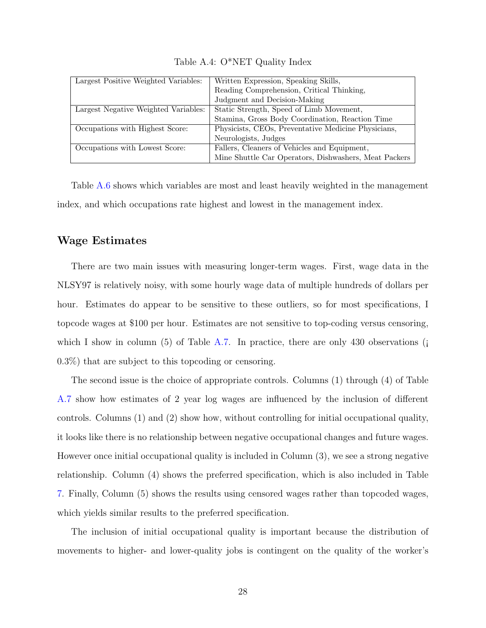<span id="page-27-0"></span>

| Largest Positive Weighted Variables: | Written Expression, Speaking Skills,                  |
|--------------------------------------|-------------------------------------------------------|
|                                      | Reading Comprehension, Critical Thinking,             |
|                                      | Judgment and Decision-Making                          |
| Largest Negative Weighted Variables: | Static Strength, Speed of Limb Movement,              |
|                                      | Stamina, Gross Body Coordination, Reaction Time       |
| Occupations with Highest Score:      | Physicists, CEOs, Preventative Medicine Physicians,   |
|                                      | Neurologists, Judges                                  |
| Occupations with Lowest Score:       | Fallers, Cleaners of Vehicles and Equipment,          |
|                                      | Mine Shuttle Car Operators, Dishwashers, Meat Packers |

Table A.4: O\*NET Quality Index

Table [A.6](#page-29-0) shows which variables are most and least heavily weighted in the management index, and which occupations rate highest and lowest in the management index.

### Wage Estimates

There are two main issues with measuring longer-term wages. First, wage data in the NLSY97 is relatively noisy, with some hourly wage data of multiple hundreds of dollars per hour. Estimates do appear to be sensitive to these outliers, so for most specifications, I topcode wages at \$100 per hour. Estimates are not sensitive to top-coding versus censoring, which I show in column (5) of Table [A.7.](#page-30-0) In practice, there are only 430 observations ( $\mathbf{j}$ 0.3%) that are subject to this topcoding or censoring.

The second issue is the choice of appropriate controls. Columns (1) through (4) of Table [A.7](#page-30-0) show how estimates of 2 year log wages are influenced by the inclusion of different controls. Columns (1) and (2) show how, without controlling for initial occupational quality, it looks like there is no relationship between negative occupational changes and future wages. However once initial occupational quality is included in Column (3), we see a strong negative relationship. Column (4) shows the preferred specification, which is also included in Table [7.](#page-18-0) Finally, Column (5) shows the results using censored wages rather than topcoded wages, which yields similar results to the preferred specification.

The inclusion of initial occupational quality is important because the distribution of movements to higher- and lower-quality jobs is contingent on the quality of the worker's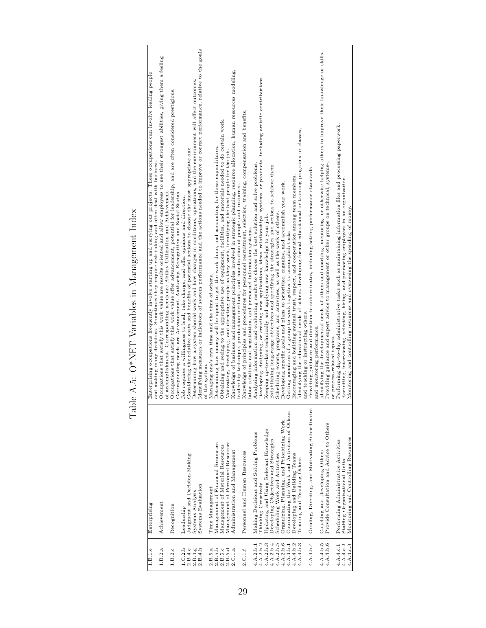| $\frac{1}{2}$<br> <br> <br>  |
|------------------------------|
| こくさく こくていく くうく<br>J          |
| i<br>Ş.                      |
| ı<br>,<br>,                  |
| <br> <br> <br> <br> <br><br> |
| í<br>1                       |
| l<br>j<br>l                  |

<span id="page-28-0"></span>

| 1.B.1.e                | Enterprising                                    | nterprising occupations frequently involve starting up and carrying out projects. These occupations can involve leading people<br>囟       |
|------------------------|-------------------------------------------------|-------------------------------------------------------------------------------------------------------------------------------------------|
|                        |                                                 | and making many decisions. Sometimes they require risk taking and often deal with business.                                               |
| 1.B.2.a                | Achievement                                     | Occupations that satisfy this work value are results oriented and allow employees to use their strongest abilities, giving them a feeling |
|                        |                                                 | of accomplishment. Corresponding needs are Ability Utilization and Achievement.                                                           |
| 1.B.2.c                | Recognition                                     | Occupations that satisfy this work value offer advancement, potential for leadership, and are often considered prestigious.               |
|                        |                                                 | Corresponding needs are Advancement, Authority, Recognition and Social Status                                                             |
| 1.C.2.b                | Leadership                                      | Job requires a willingness to lead, take charge, and offer opinions and direction.                                                        |
| 2.B.4.e                | Judgment and Decision-Making                    | Considering the relative costs and benefits of potential actions to choose the most appropriate one.                                      |
| 2.B.4.g                | Systems Analysis                                | Determining how a system should work and how changes in conditions, operations, and the environment will affect outcomes.                 |
| 2.B.4.h                | Systems Evaluation                              | Identifying measures or indicators of system performance and the actions needed to improve or correct performance, relative to the goals  |
|                        |                                                 | f the system.<br>ō                                                                                                                        |
| 2.B.5.a                | Time Management                                 | lanaging one's own time and the time of others.<br>Σ                                                                                      |
| 2.B.5.b                | Management of Financial Resources               | Determining how money will be spent to get the work done, and accounting for these expenditures.                                          |
| 2.B.5.c                | Management of Material Resources                | Obtaining and seeing to the appropriate use of equipment, facilities, and materials needed to do certain work.                            |
| 2.B.5.d                | Management of Personnel Resources               | Motivating, developing, and directing people as they work, identifying the best people for the job.                                       |
| 2.C.1.a                | Administration and Management                   | Knowledge of business and management principles involved in strategic planning, resource allocation, human resources modeling,            |
|                        |                                                 | leadership technique, production methods, and coordination of people and resources.                                                       |
| 2.C.1.f                | Personnel and Human Resources                   | Knowledge of principles and procedures for personnel recruitment, selection, training, compensation and benefits,                         |
|                        |                                                 | labor relations and negotiation, and personnel information systems.                                                                       |
| 4.A.2.b.1              | Making Decisions and Solving Problems           | Analyzing information and evaluating results to choose the best solution and solve problems.                                              |
| 4.A.2.b.2              | Thinking Creatively                             | Developing, designing, or creating new applications, ideas, relationships, systems, or products, including artistic contributions.        |
| 4.A.2.b.3              | Updating and Using Relevant Knowledge           | Keeping up-to-date technically and applying new knowledge to your job.                                                                    |
| 4.A.2.b.4              | Developing Objectives and Strategies            | stablishing long-range objectives and specifying the strategies and actions to achieve them.<br>凹                                         |
| 4.A.2.b.5              | Scheduling Work and Activities                  | Scheduling events, programs, and activities, as well as the work of others.                                                               |
| 4.A.2.b.6              | Organizing, Planning, and Prioritizing Work     | Developing specific goals and plans to prioritize, organize, and accomplish your work.                                                    |
| 4.A.4.b.1              | Coordinating the Work and Activities of Others  | Getting members of a group to work together to accomplish tasks                                                                           |
| 4.A.4.b.2              | Developing and Building Teams                   | Encouraging and building mutual trust, respect, and cooperation among team members.                                                       |
| 4.A.4.b.3              | Training and Teaching Others                    | Identifying the educational needs of others, developing formal educational or training programs or classes,                               |
|                        |                                                 | and teaching or instructing others.                                                                                                       |
| 4.A.4.b.4              | Guiding, Directing, and Motivating Subordinates | Providing guidance and direction to subordinates, including setting performance standards                                                 |
|                        |                                                 | nd monitoring performance.<br>ā                                                                                                           |
| 4.A.4.b.5              | Coaching and Developing Others                  | Identifying the developmental needs of others and coaching, mentoring, or otherwise helping others to improve their knowledge or skills.  |
| 4.A.4.b.6              | Provide Consultation and Advice to Others       | Providing guidance and expert advice to management or other groups on technical, systems-,                                                |
|                        |                                                 | process-related topics.<br>ō                                                                                                              |
| 4.A.4.c.1              | Performing Administrative Activities            | Performing day-to-day administrative tasks such as maintaining information files and processing paperwork.                                |
| 4.A.4.c.2<br>4.A.4.c.3 | Staffing Organizational Units                   | Recruiting, interviewing, selecting, hiring, and promoting employees in an organization.                                                  |
|                        | Monitoring and Controlling Resources            | Monitoring and controlling resources and overseeing the spending of money.                                                                |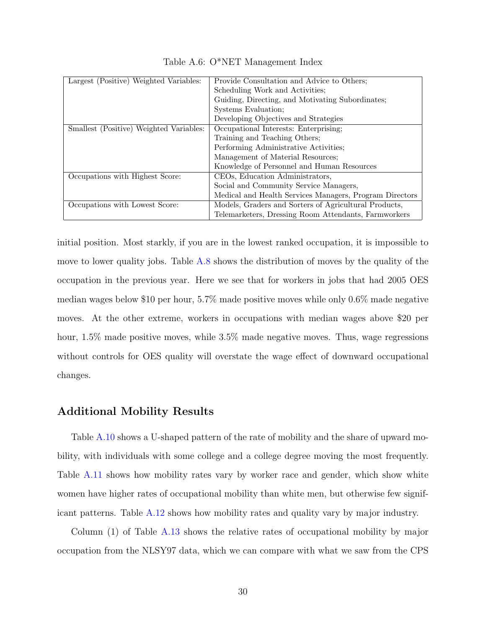<span id="page-29-0"></span>

| Largest (Positive) Weighted Variables:  | Provide Consultation and Advice to Others:              |
|-----------------------------------------|---------------------------------------------------------|
|                                         | Scheduling Work and Activities;                         |
|                                         | Guiding, Directing, and Motivating Subordinates;        |
|                                         | Systems Evaluation;                                     |
|                                         | Developing Objectives and Strategies                    |
| Smallest (Positive) Weighted Variables: | Occupational Interests: Enterprising;                   |
|                                         | Training and Teaching Others:                           |
|                                         | Performing Administrative Activities;                   |
|                                         | Management of Material Resources;                       |
|                                         | Knowledge of Personnel and Human Resources              |
| Occupations with Highest Score:         | CEOs, Education Administrators,                         |
|                                         | Social and Community Service Managers,                  |
|                                         | Medical and Health Services Managers, Program Directors |
| Occupations with Lowest Score:          | Models, Graders and Sorters of Agricultural Products,   |
|                                         | Telemarketers, Dressing Room Attendants, Farmworkers    |

Table A.6: O\*NET Management Index

initial position. Most starkly, if you are in the lowest ranked occupation, it is impossible to move to lower quality jobs. Table [A.8](#page-31-0) shows the distribution of moves by the quality of the occupation in the previous year. Here we see that for workers in jobs that had 2005 OES median wages below \$10 per hour, 5.7% made positive moves while only 0.6% made negative moves. At the other extreme, workers in occupations with median wages above \$20 per hour, 1.5% made positive moves, while 3.5% made negative moves. Thus, wage regressions without controls for OES quality will overstate the wage effect of downward occupational changes.

### Additional Mobility Results

Table [A.10](#page-34-0) shows a U-shaped pattern of the rate of mobility and the share of upward mobility, with individuals with some college and a college degree moving the most frequently. Table [A.11](#page-34-1) shows how mobility rates vary by worker race and gender, which show white women have higher rates of occupational mobility than white men, but otherwise few significant patterns. Table [A.12](#page-35-0) shows how mobility rates and quality vary by major industry.

Column (1) of Table [A.13](#page-36-0) shows the relative rates of occupational mobility by major occupation from the NLSY97 data, which we can compare with what we saw from the CPS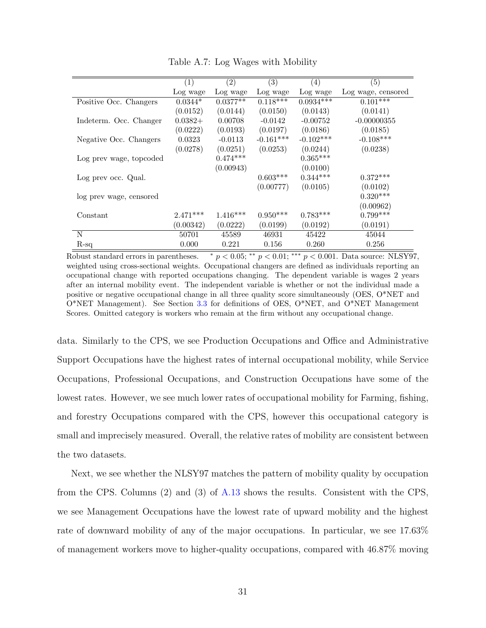<span id="page-30-0"></span>

|                         | (1)        | (2)        | $\left( 3\right)$ | (4)         | $\left( 5\right)$  |
|-------------------------|------------|------------|-------------------|-------------|--------------------|
|                         | Log wage   | Log wage   | Log wage          | Log wage    | Log wage, censored |
| Positive Occ. Changers  | $0.0344*$  | $0.0377**$ | $0.118***$        | $0.0934***$ | $0.101***$         |
|                         | (0.0152)   | (0.0144)   | (0.0150)          | (0.0143)    | (0.0141)           |
| Indeterm. Occ. Changer  | $0.0382+$  | 0.00708    | $-0.0142$         | $-0.00752$  | $-0.00000355$      |
|                         | (0.0222)   | (0.0193)   | (0.0197)          | (0.0186)    | (0.0185)           |
| Negative Occ. Changers  | 0.0323     | $-0.0113$  | $-0.161***$       | $-0.102***$ | $-0.108***$        |
|                         | (0.0278)   | (0.0251)   | (0.0253)          | (0.0244)    | (0.0238)           |
| Log prev wage, topcoded |            | $0.474***$ |                   | $0.365***$  |                    |
|                         |            | (0.00943)  |                   | (0.0100)    |                    |
| Log prev occ. Qual.     |            |            | $0.603***$        | $0.344***$  | $0.372***$         |
|                         |            |            | (0.00777)         | (0.0105)    | (0.0102)           |
| log prev wage, censored |            |            |                   |             | $0.320***$         |
|                         |            |            |                   |             | (0.00962)          |
| Constant                | $2.471***$ | $1.416***$ | $0.950***$        | $0.783***$  | $0.799***$         |
|                         | (0.00342)  | (0.0222)   | (0.0199)          | (0.0192)    | (0.0191)           |
| N                       | 50701      | 45589      | 46931             | 45422       | 45044              |
| $R$ -sq                 | 0.000      | 0.221      | 0.156             | 0.260       | 0.256              |

Table A.7: Log Wages with Mobility

Robust standard errors in parentheses.  $\ast p < 0.05$ ;  $\ast \ast p < 0.01$ ;  $\ast \ast p < 0.001$ . Data source: NLSY97, weighted using cross-sectional weights. Occupational changers are defined as individuals reporting an occupational change with reported occupations changing. The dependent variable is wages 2 years after an internal mobility event. The independent variable is whether or not the individual made a positive or negative occupational change in all three quality score simultaneously (OES, O\*NET and O\*NET Management). See Section [3.3](#page-9-0) for definitions of OES, O\*NET, and O\*NET Management Scores. Omitted category is workers who remain at the firm without any occupational change.

data. Similarly to the CPS, we see Production Occupations and Office and Administrative Support Occupations have the highest rates of internal occupational mobility, while Service Occupations, Professional Occupations, and Construction Occupations have some of the lowest rates. However, we see much lower rates of occupational mobility for Farming, fishing, and forestry Occupations compared with the CPS, however this occupational category is small and imprecisely measured. Overall, the relative rates of mobility are consistent between the two datasets.

Next, we see whether the NLSY97 matches the pattern of mobility quality by occupation from the CPS. Columns (2) and (3) of [A.13](#page-36-0) shows the results. Consistent with the CPS, we see Management Occupations have the lowest rate of upward mobility and the highest rate of downward mobility of any of the major occupations. In particular, we see 17.63% of management workers move to higher-quality occupations, compared with 46.87% moving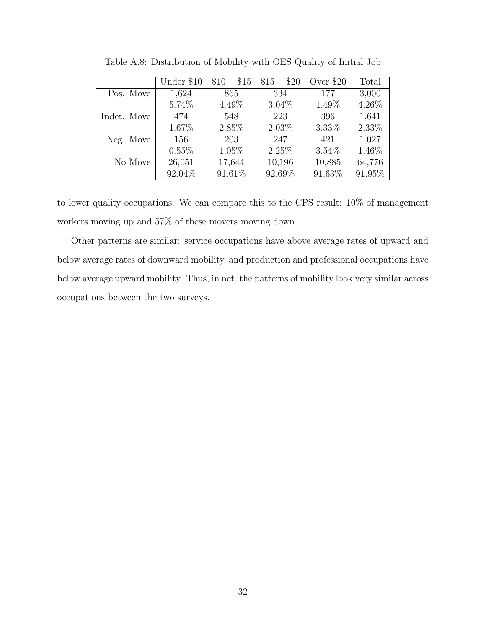<span id="page-31-0"></span>

|             | Under \$10 | $$10 - $15$ | $$15 - $20$ | Over \$20 | Total  |
|-------------|------------|-------------|-------------|-----------|--------|
| Pos. Move   | 1,624      | 865         | 334         | 177       | 3,000  |
|             | 5.74%      | 4.49%       | $3.04\%$    | 1.49%     | 4.26%  |
| Indet. Move | 474        | 548         | 223         | 396       | 1,641  |
|             | 1.67%      | 2.85%       | $2.03\%$    | 3.33%     | 2.33%  |
| Neg. Move   | 156        | 203         | 247         | 421       | 1,027  |
|             | $0.55\%$   | 1.05%       | 2.25%       | $3.54\%$  | 1.46%  |
| No Move     | 26,051     | 17,644      | 10,196      | 10,885    | 64,776 |
|             | 92.04\%    | 91.61%      | 92.69%      | 91.63%    | 91.95% |

Table A.8: Distribution of Mobility with OES Quality of Initial Job

to lower quality occupations. We can compare this to the CPS result: 10% of management workers moving up and 57% of these movers moving down.

Other patterns are similar: service occupations have above average rates of upward and below average rates of downward mobility, and production and professional occupations have below average upward mobility. Thus, in net, the patterns of mobility look very similar across occupations between the two surveys.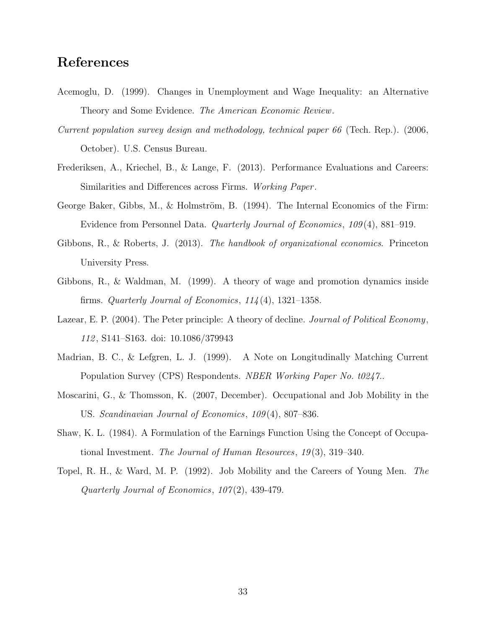# References

- <span id="page-32-10"></span>Acemoglu, D. (1999). Changes in Unemployment and Wage Inequality: an Alternative Theory and Some Evidence. The American Economic Review.
- <span id="page-32-9"></span>Current population survey design and methodology, technical paper 66 (Tech. Rep.). (2006, October). U.S. Census Bureau.
- <span id="page-32-5"></span>Frederiksen, A., Kriechel, B., & Lange, F. (2013). Performance Evaluations and Careers: Similarities and Differences across Firms. Working Paper .
- <span id="page-32-2"></span>George Baker, Gibbs, M., & Holmström, B.  $(1994)$ . The Internal Economics of the Firm: Evidence from Personnel Data. Quarterly Journal of Economics, 109 (4), 881–919.
- <span id="page-32-6"></span>Gibbons, R., & Roberts, J. (2013). The handbook of organizational economics. Princeton University Press.
- <span id="page-32-3"></span>Gibbons, R., & Waldman, M. (1999). A theory of wage and promotion dynamics inside firms. Quarterly Journal of Economics,  $114(4)$ , 1321-1358.
- <span id="page-32-4"></span>Lazear, E. P. (2004). The Peter principle: A theory of decline. Journal of Political Economy, 112 , S141–S163. doi: 10.1086/379943
- <span id="page-32-7"></span>Madrian, B. C., & Lefgren, L. J. (1999). A Note on Longitudinally Matching Current Population Survey (CPS) Respondents. NBER Working Paper No. t0247..
- <span id="page-32-8"></span>Moscarini, G., & Thomsson, K. (2007, December). Occupational and Job Mobility in the US. Scandinavian Journal of Economics, 109 (4), 807–836.
- <span id="page-32-0"></span>Shaw, K. L. (1984). A Formulation of the Earnings Function Using the Concept of Occupational Investment. The Journal of Human Resources, 19 (3), 319–340.
- <span id="page-32-1"></span>Topel, R. H., & Ward, M. P. (1992). Job Mobility and the Careers of Young Men. The Quarterly Journal of Economics, 107 (2), 439-479.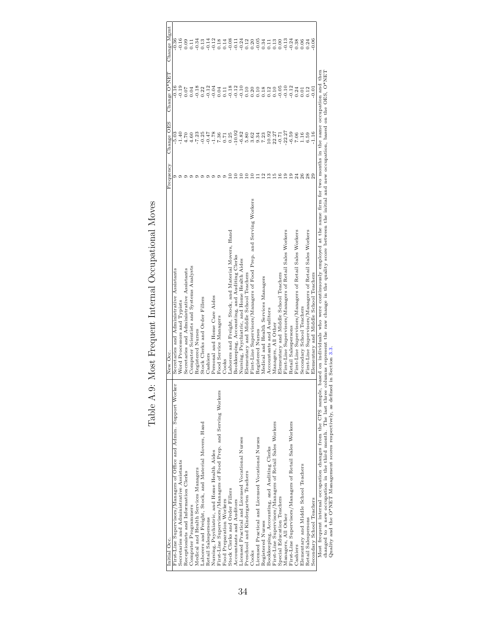<span id="page-33-0"></span>

| Initial Occ.                                                        | New Occ                                                                                                                                                                                                                                                                                                                                                                                   | Frequency | Change OES                                             | Change O*NET | Change Mgmt |
|---------------------------------------------------------------------|-------------------------------------------------------------------------------------------------------------------------------------------------------------------------------------------------------------------------------------------------------------------------------------------------------------------------------------------------------------------------------------------|-----------|--------------------------------------------------------|--------------|-------------|
| First-Line Supervisors/Managers of Office and Admin. Support Worker | Secretaries and Administrative Assistants                                                                                                                                                                                                                                                                                                                                                 |           | 5.03                                                   | -<br>-<br>-  | $-0.36$     |
| Secretaries and Administrative Assistants                           | Word Processors and Typists                                                                                                                                                                                                                                                                                                                                                               |           | 1.40                                                   | 0.19         | 0.16        |
| Receptionists and Information Clerks                                | Secretaries and Administrative Assistants                                                                                                                                                                                                                                                                                                                                                 |           | 4.70                                                   | 70.07        | 0.09        |
| Computer Programmers                                                | Computer Scientists and Systems Analysts                                                                                                                                                                                                                                                                                                                                                  |           | 4.60                                                   | 0.04         | 0.11        |
| Medical and Health Services Managers                                | Registered Nurses                                                                                                                                                                                                                                                                                                                                                                         |           | 7.23                                                   | 0.18         | $-0.34$     |
| Laborers and Freight, Stock, and Material Movers, Hand              | Stock Clerks and Order Fillers                                                                                                                                                                                                                                                                                                                                                            |           | $-0.47$<br>$-1.78$<br>$7.36$<br>$7.36$<br>$0.71$       | 0.22         | 0.13        |
| Retail Salespersons                                                 | Cashiers                                                                                                                                                                                                                                                                                                                                                                                  |           |                                                        | $-0.12$      | $-0.14$     |
| Nursing, Psychiatric, and Home Health Aides                         | Personal and Home Care Aides                                                                                                                                                                                                                                                                                                                                                              |           |                                                        | $-0.04$      | $-0.12$     |
| First-Line Supervisors/Managers of Food Prep. and Serving Workers   | Food Service Managers                                                                                                                                                                                                                                                                                                                                                                     |           |                                                        | 0.04         | 0.18        |
| Food Preparation Workers                                            | Cooks                                                                                                                                                                                                                                                                                                                                                                                     |           |                                                        | 0.11         |             |
| Stock Clerks and Order Fillers                                      | Laborers and Freight, Stock, and Material Movers, Hand                                                                                                                                                                                                                                                                                                                                    |           | 0.25                                                   | $-0.18$      | $-0.08$     |
| Accountants and Auditors                                            | Bookkeeping, Accounting, and Auditing Clerks                                                                                                                                                                                                                                                                                                                                              |           | $-10.92$                                               | $-0.12$      | $-0.11$     |
| Licensed Practical and Licensed Vocational Nurses                   | Nursing, Psychiatric, and Home Health Aides                                                                                                                                                                                                                                                                                                                                               |           | $-6.82$                                                | $-0.10$      | $-0.24$     |
| Preschool and Kindergarten Teachers                                 | Elementary and Middle School Teachers                                                                                                                                                                                                                                                                                                                                                     |           |                                                        | 0.10         | 0.12        |
| Cooks                                                               | First-Line Supervisors/Managers of Food Prep. and Serving Workers                                                                                                                                                                                                                                                                                                                         |           | $\frac{5.80}{3.62}$                                    | 0.20         | 0.20        |
| Licensed Practical and Licensed Vocational Nurses                   | Registered Nurses                                                                                                                                                                                                                                                                                                                                                                         |           | 9.34                                                   | 0.10         | $-0.05$     |
| Registered Nurses                                                   | Medical and Health Services Managers                                                                                                                                                                                                                                                                                                                                                      |           | 7.23                                                   | 0.18         | 0.34        |
| Bookkeeping, Accounting, and Auditing Clerks                        | Accountants and Auditors                                                                                                                                                                                                                                                                                                                                                                  |           | $\begin{array}{c} 10.92 \\ 22.27 \\ -0.71 \end{array}$ | 0.12         | 0.11        |
| First-Line Supervisors/Managers of Retail Sales Workers             | Managers, All Other                                                                                                                                                                                                                                                                                                                                                                       | ró        |                                                        | 0.10         | 0.13        |
| Special Education Teachers                                          | Elementary and Middle School Teachers                                                                                                                                                                                                                                                                                                                                                     | $\circ$   |                                                        | $-0.05$      | 0.00        |
| Managers, All Other                                                 | First-Line Supervisors/Managers of Retail Sales Workers                                                                                                                                                                                                                                                                                                                                   | ق         | $-22.27$                                               | $-0.10$      | $-0.13$     |
| First-Line Supervisors/Managers of Retail Sales Workers             | Retail Salespersons                                                                                                                                                                                                                                                                                                                                                                       | ⊚         | $-6.59$                                                | $-0.12$      | $-0.24$     |
| Cashiers                                                            | First-Line Supervisors/Managers of Retail Sales Workers                                                                                                                                                                                                                                                                                                                                   | 24        | 7.06                                                   | 0.24         | 0.38        |
| Elementary and Middle School Teachers                               | Secondary School Teachers                                                                                                                                                                                                                                                                                                                                                                 | 26        | 1.16                                                   | 0.01         | 0.06        |
| Retail Salespersons                                                 | First-Line Supervisors/Managers of Retail Sales Workers                                                                                                                                                                                                                                                                                                                                   | 28        | 6.59                                                   | 0.12         | 0.24        |
| Secondary School Teachers                                           | Elementary and Middle School Teachers                                                                                                                                                                                                                                                                                                                                                     |           | 1.16                                                   | 0.01         | 0.06        |
|                                                                     | Most frequent internal occupation changes from the CPS sample, based on individuals who were continuously employed at the same firm for two months in the same occupation and then<br>changed to a new occupation in the third month. The last three columns represent the raw change in the quality score between the initial and new occupation, based on the OES, O*NET<br>Section 3.3 |           |                                                        |              |             |
| Quality and the O*NET Management scores respectively, as defined in |                                                                                                                                                                                                                                                                                                                                                                                           |           |                                                        |              |             |

# Table A.9: Most Frequent Internal Occupational Moves Table A.9: Most Frequent Internal Occupational Moves

Quality and the O\*NET Management scores respectively, as defined in Section [3.3.](#page-9-0)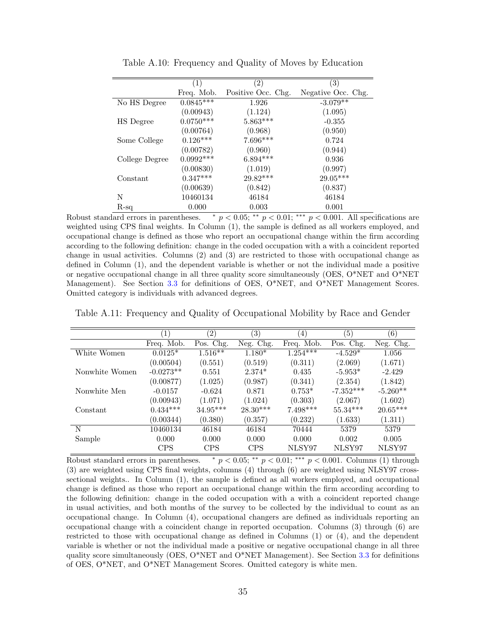<span id="page-34-0"></span>

|                | (1)         | (2)                | $\left( 3\right)$  |
|----------------|-------------|--------------------|--------------------|
|                | Freq. Mob.  | Positive Occ. Chg. | Negative Occ. Chg. |
| No HS Degree   | $0.0845***$ | 1.926              | $-3.079**$         |
|                | (0.00943)   | (1.124)            | (1.095)            |
| HS Degree      | $0.0750***$ | $5.863***$         | $-0.355$           |
|                | (0.00764)   | (0.968)            | (0.950)            |
| Some College   | $0.126***$  | $7.696***$         | 0.724              |
|                | (0.00782)   | (0.960)            | (0.944)            |
| College Degree | $0.0992***$ | $6.894***$         | 0.936              |
|                | (0.00830)   | (1.019)            | (0.997)            |
| Constant       | $0.347***$  | $29.82***$         | $29.05***$         |
|                | (0.00639)   | (0.842)            | (0.837)            |
| N              | 10460134    | 46184              | 46184              |
| $R$ -sq        | 0.000       | 0.003              | 0.001              |

Table A.10: Frequency and Quality of Moves by Education

Robust standard errors in parentheses.  $\ast p < 0.05$ ;  $\ast \ast p < 0.01$ ;  $\ast \ast p < 0.001$ . All specifications are weighted using CPS final weights. In Column (1), the sample is defined as all workers employed, and occupational change is defined as those who report an occupational change within the firm according according to the following definition: change in the coded occupation with a with a coincident reported change in usual activities. Columns (2) and (3) are restricted to those with occupational change as defined in Column (1), and the dependent variable is whether or not the individual made a positive or negative occupational change in all three quality score simultaneously (OES, O\*NET and O\*NET Management). See Section [3.3](#page-9-0) for definitions of OES, O\*NET, and O\*NET Management Scores. Omitted category is individuals with advanced degrees.

<span id="page-34-1"></span>Table A.11: Frequency and Quality of Occupational Mobility by Race and Gender

|                | $\left(1\right)$ | $\left( 2\right)$ | $\left(3\right)$ | $\left( 4\right)$     | $\left(5\right)$ | (6)        |
|----------------|------------------|-------------------|------------------|-----------------------|------------------|------------|
|                | Freq. Mob.       | Pos. Chg.         | Neg. Chg.        | Freq. Mob.            | Pos. Chg.        | Neg. Chg.  |
| White Women    | $0.0125*$        | $1.516***$        | $1.180*$         | $1.25\overline{4***}$ | $-4.529*$        | 1.056      |
|                | (0.00504)        | (0.551)           | (0.519)          | (0.311)               | (2.069)          | (1.671)    |
| Nonwhite Women | $-0.0273**$      | 0.551             | $2.374*$         | 0.435                 | $-5.953*$        | $-2.429$   |
|                | (0.00877)        | (1.025)           | (0.987)          | (0.341)               | (2.354)          | (1.842)    |
| Nonwhite Men   | $-0.0157$        | $-0.624$          | 0.871            | $0.753*$              | $-7.352***$      | $-5.260**$ |
|                | (0.00943)        | (1.071)           | (1.024)          | (0.303)               | (2.067)          | (1.602)    |
| Constant       | $0.434***$       | $34.95***$        | $28.30***$       | $7.498***$            | $55.34***$       | $20.65***$ |
|                | (0.00344)        | (0.380)           | (0.357)          | (0.232)               | (1.633)          | (1.311)    |
| N              | 10460134         | 46184             | 46184            | 70444                 | 5379             | 5379       |
| Sample         | 0.000            | 0.000             | 0.000            | 0.000                 | 0.002            | 0.005      |
|                | <b>CPS</b>       | <b>CPS</b>        | <b>CPS</b>       | NLSY97                | NLSY97           | NLSY97     |

Robust standard errors in parentheses.  $\bar{p}$  < 0.05; \*\*  $p$  < 0.01; \*\*\*  $p$  < 0.001. Columns (1) through (3) are weighted using CPS final weights, columns (4) through (6) are weighted using NLSY97 crosssectional weights.. In Column (1), the sample is defined as all workers employed, and occupational change is defined as those who report an occupational change within the firm according according to the following definition: change in the coded occupation with a with a coincident reported change in usual activities, and both months of the survey to be collected by the individual to count as an occupational change. In Column (4), occupational changers are defined as individuals reporting an occupational change with a coincident change in reported occupation. Columns (3) through (6) are restricted to those with occupational change as defined in Columns (1) or (4), and the dependent variable is whether or not the individual made a positive or negative occupational change in all three quality score simultaneously (OES,  $O^*NET$  and  $O^*NET$  Management). See Section [3.3](#page-9-0) for definitions of OES, O\*NET, and O\*NET Management Scores. Omitted category is white men.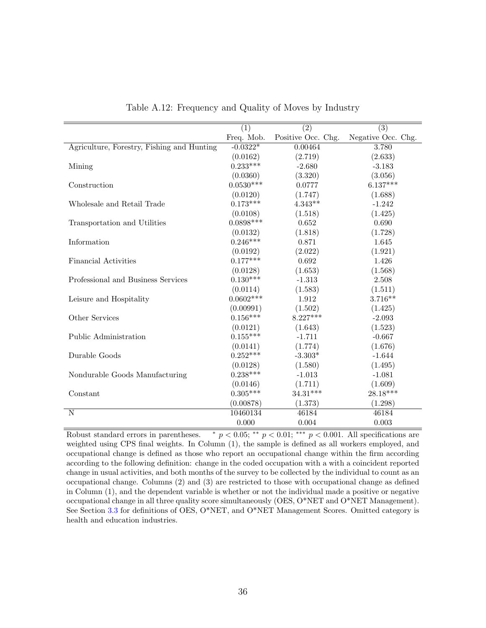<span id="page-35-0"></span>

|                                            | $\overline{(1)}$ | $\overline{(2)}$   | $\overline{(3)}$   |
|--------------------------------------------|------------------|--------------------|--------------------|
|                                            | Freq. Mob.       | Positive Occ. Chg. | Negative Occ. Chg. |
| Agriculture, Forestry, Fishing and Hunting | $-0.0322*$       | 0.00464            | 3.780              |
|                                            | (0.0162)         | (2.719)            | (2.633)            |
| Mining                                     | $0.233***$       | $-2.680$           | $-3.183$           |
|                                            | (0.0360)         | (3.320)            | (3.056)            |
| Construction                               | $0.0530***$      | 0.0777             | $6.137***$         |
|                                            | (0.0120)         | (1.747)            | (1.688)            |
| Wholesale and Retail Trade                 | $0.173***$       | $4.343**$          | $-1.242$           |
|                                            | (0.0108)         | (1.518)            | (1.425)            |
| Transportation and Utilities               | $0.0898***$      | 0.652              | 0.690              |
|                                            | (0.0132)         | (1.818)            | (1.728)            |
| Information                                | $0.246***$       | 0.871              | 1.645              |
|                                            | (0.0192)         | (2.022)            | (1.921)            |
| <b>Financial Activities</b>                | $0.177***$       | 0.692              | 1.426              |
|                                            | (0.0128)         | (1.653)            | (1.568)            |
| Professional and Business Services         | $0.130***$       | $-1.313$           | 2.508              |
|                                            | (0.0114)         | (1.583)            | (1.511)            |
| Leisure and Hospitality                    | $0.0602***$      | 1.912              | $3.716**$          |
|                                            | (0.00991)        | (1.502)            | (1.425)            |
| Other Services                             | $0.156***$       | $8.227***$         | $-2.093$           |
|                                            | (0.0121)         | (1.643)            | (1.523)            |
| Public Administration                      | $0.155***$       | $-1.711$           | $-0.667$           |
|                                            | (0.0141)         | (1.774)            | (1.676)            |
| Durable Goods                              | $0.252***$       | $-3.303*$          | $-1.644$           |
|                                            | (0.0128)         | (1.580)            | (1.495)            |
| Nondurable Goods Manufacturing             | $0.238***$       | $-1.013$           | $-1.081$           |
|                                            | (0.0146)         | (1.711)            | (1.609)            |
| Constant                                   | $0.305***$       | $34.31***$         | $28.18***$         |
|                                            | (0.00878)        | (1.373)            | (1.298)            |
| $\mathbf N$                                | 10460134         | 46184              | 46184              |
|                                            | 0.000            | 0.004              | 0.003              |

Table A.12: Frequency and Quality of Moves by Industry

Robust standard errors in parentheses.  $\ast p < 0.05; \ast \ast p < 0.01; \ast \ast \ast p < 0.001$ . All specifications are weighted using CPS final weights. In Column (1), the sample is defined as all workers employed, and occupational change is defined as those who report an occupational change within the firm according according to the following definition: change in the coded occupation with a with a coincident reported change in usual activities, and both months of the survey to be collected by the individual to count as an occupational change. Columns (2) and (3) are restricted to those with occupational change as defined in Column (1), and the dependent variable is whether or not the individual made a positive or negative occupational change in all three quality score simultaneously (OES, O\*NET and O\*NET Management). See Section [3.3](#page-9-0) for definitions of OES, O\*NET, and O\*NET Management Scores. Omitted category is health and education industries.